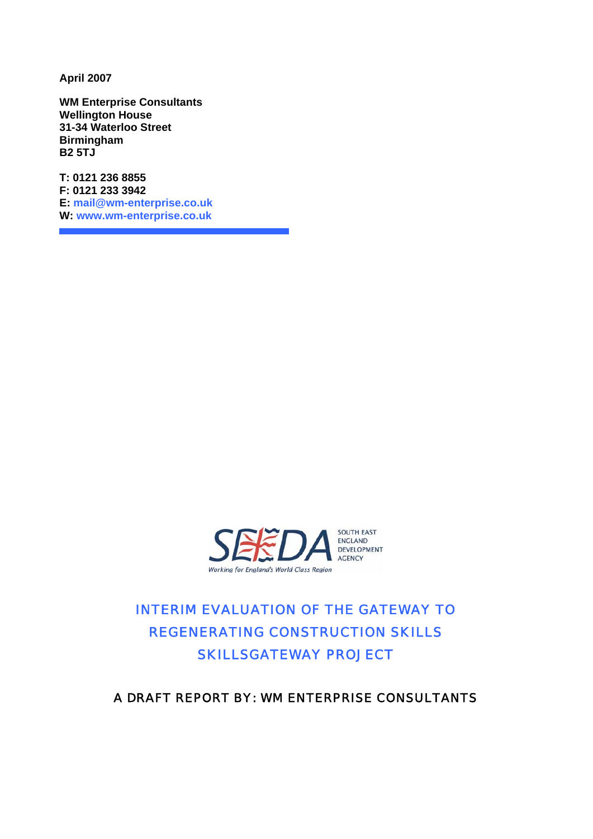**April 2007** 

**WM Enterprise Consultants Wellington House 31-34 Waterloo Street Birmingham B2 5TJ**

**T: 0121 236 8855 F: 0121 233 3942 E: [mail@wm-enterprise.co.uk](mailto:mail@wm-enterprise.co.uk)  W: [www.wm-enterprise.co.uk](http://www.wm-enterprise.co.uk/)**



## INTERIM EVALUATION OF THE GATEWAY TO REGENERATING CONSTRUCTION SKILLS SKILLSGATEWAY PROJECT

## A DRAFT REPORT BY: WM ENTERPRISE CONSULTANTS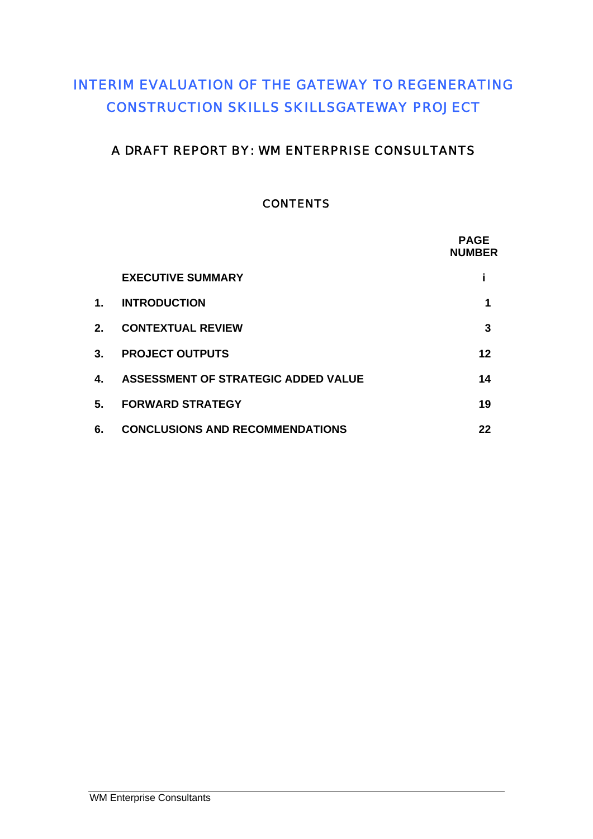## INTERIM EVALUATION OF THE GATEWAY TO REGENERATING CONSTRUCTION SKILLS SKILLSGATEWAY PROJECT

## A DRAFT REPORT BY: WM ENTERPRISE CONSULTANTS

## **CONTENTS**

|                |                                        | <b>PAGE</b><br><b>NUMBER</b> |
|----------------|----------------------------------------|------------------------------|
|                | <b>EXECUTIVE SUMMARY</b>               |                              |
| 1.             | <b>INTRODUCTION</b>                    | 1                            |
| 2.             | <b>CONTEXTUAL REVIEW</b>               | 3                            |
| 3 <sub>1</sub> | <b>PROJECT OUTPUTS</b>                 | 12                           |
| 4.             | ASSESSMENT OF STRATEGIC ADDED VALUE    | 14                           |
| 5.             | <b>FORWARD STRATEGY</b>                | 19                           |
| 6.             | <b>CONCLUSIONS AND RECOMMENDATIONS</b> | 22                           |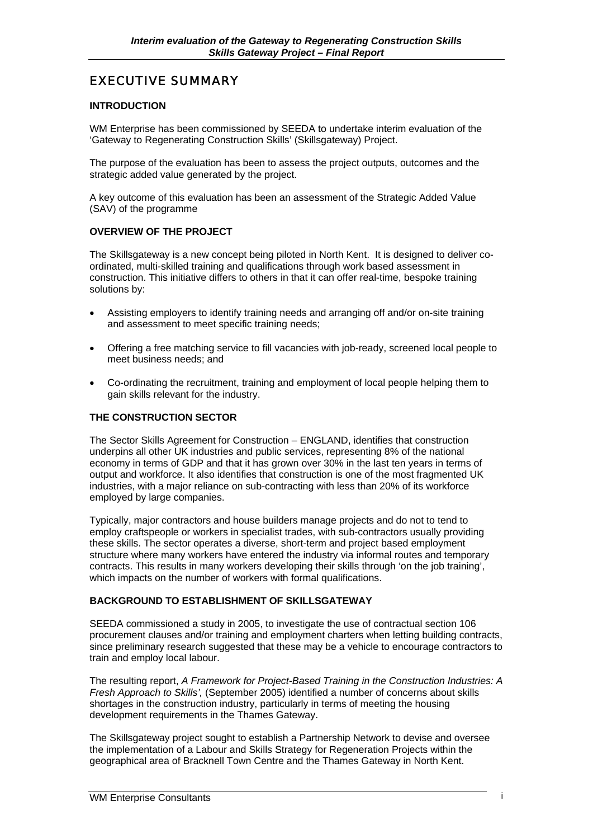## EXECUTIVE SUMMARY

#### **INTRODUCTION**

WM Enterprise has been commissioned by SEEDA to undertake interim evaluation of the 'Gateway to Regenerating Construction Skills' (Skillsgateway) Project.

The purpose of the evaluation has been to assess the project outputs, outcomes and the strategic added value generated by the project.

A key outcome of this evaluation has been an assessment of the Strategic Added Value (SAV) of the programme

#### **OVERVIEW OF THE PROJECT**

The Skillsgateway is a new concept being piloted in North Kent. It is designed to deliver coordinated, multi-skilled training and qualifications through work based assessment in construction. This initiative differs to others in that it can offer real-time, bespoke training solutions by:

- Assisting employers to identify training needs and arranging off and/or on-site training and assessment to meet specific training needs;
- Offering a free matching service to fill vacancies with job-ready, screened local people to meet business needs; and
- Co-ordinating the recruitment, training and employment of local people helping them to gain skills relevant for the industry.

#### **THE CONSTRUCTION SECTOR**

The Sector Skills Agreement for Construction – ENGLAND, identifies that construction underpins all other UK industries and public services, representing 8% of the national economy in terms of GDP and that it has grown over 30% in the last ten years in terms of output and workforce. It also identifies that construction is one of the most fragmented UK industries, with a major reliance on sub-contracting with less than 20% of its workforce employed by large companies.

Typically, major contractors and house builders manage projects and do not to tend to employ craftspeople or workers in specialist trades, with sub-contractors usually providing these skills. The sector operates a diverse, short-term and project based employment structure where many workers have entered the industry via informal routes and temporary contracts. This results in many workers developing their skills through 'on the job training', which impacts on the number of workers with formal qualifications.

#### **BACKGROUND TO ESTABLISHMENT OF SKILLSGATEWAY**

SEEDA commissioned a study in 2005, to investigate the use of contractual section 106 procurement clauses and/or training and employment charters when letting building contracts, since preliminary research suggested that these may be a vehicle to encourage contractors to train and employ local labour.

The resulting report, *A Framework for Project-Based Training in the Construction Industries: A Fresh Approach to Skills',* (September 2005) identified a number of concerns about skills shortages in the construction industry, particularly in terms of meeting the housing development requirements in the Thames Gateway.

The Skillsgateway project sought to establish a Partnership Network to devise and oversee the implementation of a Labour and Skills Strategy for Regeneration Projects within the geographical area of Bracknell Town Centre and the Thames Gateway in North Kent.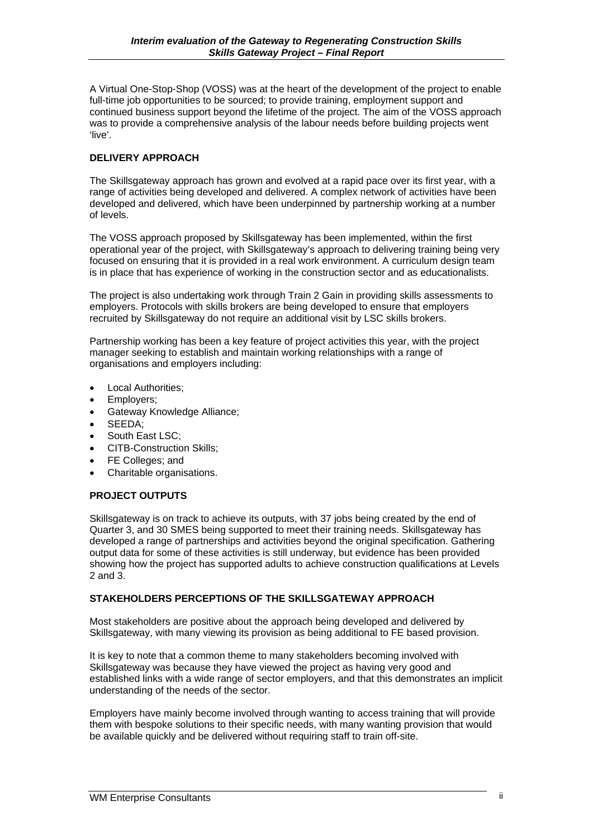A Virtual One-Stop-Shop (VOSS) was at the heart of the development of the project to enable full-time job opportunities to be sourced; to provide training, employment support and continued business support beyond the lifetime of the project. The aim of the VOSS approach was to provide a comprehensive analysis of the labour needs before building projects went 'live'.

#### **DELIVERY APPROACH**

The Skillsgateway approach has grown and evolved at a rapid pace over its first year, with a range of activities being developed and delivered. A complex network of activities have been developed and delivered, which have been underpinned by partnership working at a number of levels.

The VOSS approach proposed by Skillsgateway has been implemented, within the first operational year of the project, with Skillsgateway's approach to delivering training being very focused on ensuring that it is provided in a real work environment. A curriculum design team is in place that has experience of working in the construction sector and as educationalists.

The project is also undertaking work through Train 2 Gain in providing skills assessments to employers. Protocols with skills brokers are being developed to ensure that employers recruited by Skillsgateway do not require an additional visit by LSC skills brokers.

Partnership working has been a key feature of project activities this year, with the project manager seeking to establish and maintain working relationships with a range of organisations and employers including:

- Local Authorities;
- Employers;
- Gateway Knowledge Alliance;
- SEEDA;
- South East LSC;
- CITB-Construction Skills;
- FE Colleges; and
- Charitable organisations.

#### **PROJECT OUTPUTS**

Skillsgateway is on track to achieve its outputs, with 37 jobs being created by the end of Quarter 3, and 30 SMES being supported to meet their training needs. Skillsgateway has developed a range of partnerships and activities beyond the original specification. Gathering output data for some of these activities is still underway, but evidence has been provided showing how the project has supported adults to achieve construction qualifications at Levels 2 and 3.

#### **STAKEHOLDERS PERCEPTIONS OF THE SKILLSGATEWAY APPROACH**

Most stakeholders are positive about the approach being developed and delivered by Skillsgateway, with many viewing its provision as being additional to FE based provision.

It is key to note that a common theme to many stakeholders becoming involved with Skillsgateway was because they have viewed the project as having very good and established links with a wide range of sector employers, and that this demonstrates an implicit understanding of the needs of the sector.

Employers have mainly become involved through wanting to access training that will provide them with bespoke solutions to their specific needs, with many wanting provision that would be available quickly and be delivered without requiring staff to train off-site.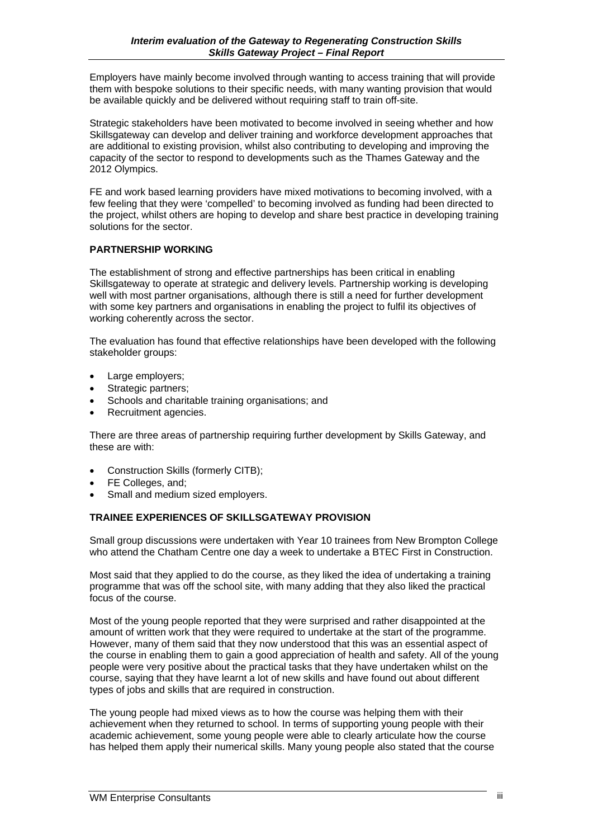Employers have mainly become involved through wanting to access training that will provide them with bespoke solutions to their specific needs, with many wanting provision that would be available quickly and be delivered without requiring staff to train off-site.

Strategic stakeholders have been motivated to become involved in seeing whether and how Skillsgateway can develop and deliver training and workforce development approaches that are additional to existing provision, whilst also contributing to developing and improving the capacity of the sector to respond to developments such as the Thames Gateway and the 2012 Olympics.

FE and work based learning providers have mixed motivations to becoming involved, with a few feeling that they were 'compelled' to becoming involved as funding had been directed to the project, whilst others are hoping to develop and share best practice in developing training solutions for the sector.

#### **PARTNERSHIP WORKING**

The establishment of strong and effective partnerships has been critical in enabling Skillsgateway to operate at strategic and delivery levels. Partnership working is developing well with most partner organisations, although there is still a need for further development with some key partners and organisations in enabling the project to fulfil its objectives of working coherently across the sector.

The evaluation has found that effective relationships have been developed with the following stakeholder groups:

- Large employers;
- Strategic partners:
- Schools and charitable training organisations; and
- Recruitment agencies.

There are three areas of partnership requiring further development by Skills Gateway, and these are with:

- Construction Skills (formerly CITB);
- FE Colleges, and;
- Small and medium sized employers.

#### **TRAINEE EXPERIENCES OF SKILLSGATEWAY PROVISION**

Small group discussions were undertaken with Year 10 trainees from New Brompton College who attend the Chatham Centre one day a week to undertake a BTEC First in Construction.

Most said that they applied to do the course, as they liked the idea of undertaking a training programme that was off the school site, with many adding that they also liked the practical focus of the course.

Most of the young people reported that they were surprised and rather disappointed at the amount of written work that they were required to undertake at the start of the programme. However, many of them said that they now understood that this was an essential aspect of the course in enabling them to gain a good appreciation of health and safety. All of the young people were very positive about the practical tasks that they have undertaken whilst on the course, saying that they have learnt a lot of new skills and have found out about different types of jobs and skills that are required in construction.

The young people had mixed views as to how the course was helping them with their achievement when they returned to school. In terms of supporting young people with their academic achievement, some young people were able to clearly articulate how the course has helped them apply their numerical skills. Many young people also stated that the course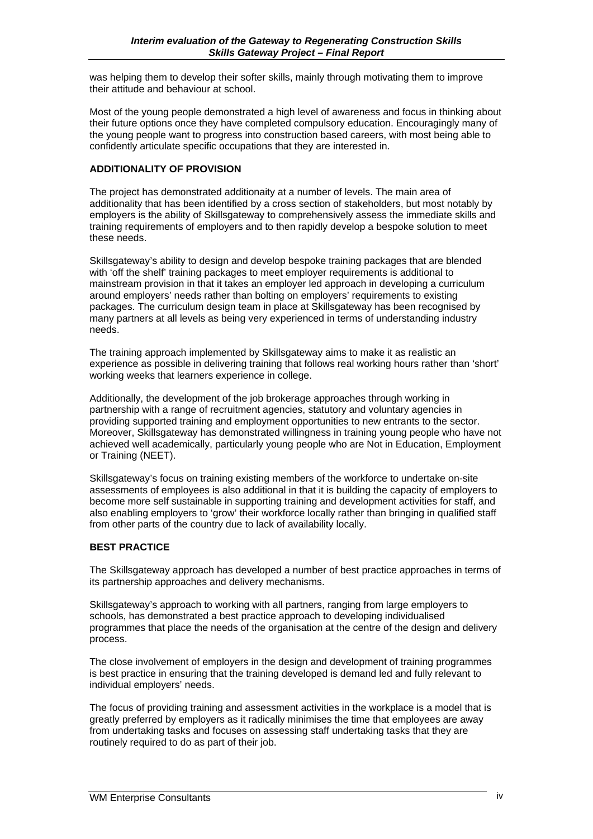was helping them to develop their softer skills, mainly through motivating them to improve their attitude and behaviour at school.

Most of the young people demonstrated a high level of awareness and focus in thinking about their future options once they have completed compulsory education. Encouragingly many of the young people want to progress into construction based careers, with most being able to confidently articulate specific occupations that they are interested in.

#### **ADDITIONALITY OF PROVISION**

The project has demonstrated additionaity at a number of levels. The main area of additionality that has been identified by a cross section of stakeholders, but most notably by employers is the ability of Skillsgateway to comprehensively assess the immediate skills and training requirements of employers and to then rapidly develop a bespoke solution to meet these needs.

Skillsgateway's ability to design and develop bespoke training packages that are blended with 'off the shelf' training packages to meet employer requirements is additional to mainstream provision in that it takes an employer led approach in developing a curriculum around employers' needs rather than bolting on employers' requirements to existing packages. The curriculum design team in place at Skillsgateway has been recognised by many partners at all levels as being very experienced in terms of understanding industry needs.

The training approach implemented by Skillsgateway aims to make it as realistic an experience as possible in delivering training that follows real working hours rather than 'short' working weeks that learners experience in college.

Additionally, the development of the job brokerage approaches through working in partnership with a range of recruitment agencies, statutory and voluntary agencies in providing supported training and employment opportunities to new entrants to the sector. Moreover, Skillsgateway has demonstrated willingness in training young people who have not achieved well academically, particularly young people who are Not in Education, Employment or Training (NEET).

Skillsgateway's focus on training existing members of the workforce to undertake on-site assessments of employees is also additional in that it is building the capacity of employers to become more self sustainable in supporting training and development activities for staff, and also enabling employers to 'grow' their workforce locally rather than bringing in qualified staff from other parts of the country due to lack of availability locally.

#### **BEST PRACTICE**

The Skillsgateway approach has developed a number of best practice approaches in terms of its partnership approaches and delivery mechanisms.

Skillsgateway's approach to working with all partners, ranging from large employers to schools, has demonstrated a best practice approach to developing individualised programmes that place the needs of the organisation at the centre of the design and delivery process.

The close involvement of employers in the design and development of training programmes is best practice in ensuring that the training developed is demand led and fully relevant to individual employers' needs.

The focus of providing training and assessment activities in the workplace is a model that is greatly preferred by employers as it radically minimises the time that employees are away from undertaking tasks and focuses on assessing staff undertaking tasks that they are routinely required to do as part of their job.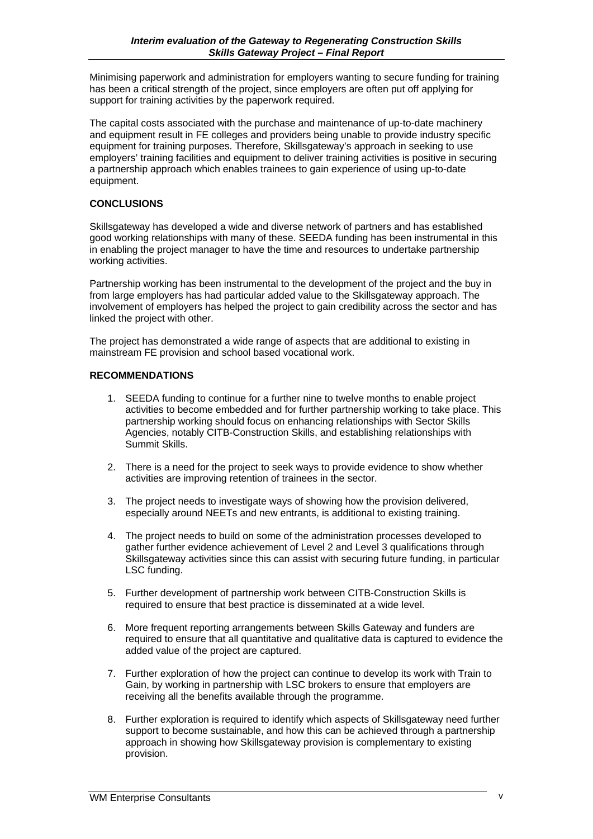Minimising paperwork and administration for employers wanting to secure funding for training has been a critical strength of the project, since employers are often put off applying for support for training activities by the paperwork required.

The capital costs associated with the purchase and maintenance of up-to-date machinery and equipment result in FE colleges and providers being unable to provide industry specific equipment for training purposes. Therefore, Skillsgateway's approach in seeking to use employers' training facilities and equipment to deliver training activities is positive in securing a partnership approach which enables trainees to gain experience of using up-to-date equipment.

#### **CONCLUSIONS**

Skillsgateway has developed a wide and diverse network of partners and has established good working relationships with many of these. SEEDA funding has been instrumental in this in enabling the project manager to have the time and resources to undertake partnership working activities.

Partnership working has been instrumental to the development of the project and the buy in from large employers has had particular added value to the Skillsgateway approach. The involvement of employers has helped the project to gain credibility across the sector and has linked the project with other.

The project has demonstrated a wide range of aspects that are additional to existing in mainstream FE provision and school based vocational work.

#### **RECOMMENDATIONS**

- 1. SEEDA funding to continue for a further nine to twelve months to enable project activities to become embedded and for further partnership working to take place. This partnership working should focus on enhancing relationships with Sector Skills Agencies, notably CITB-Construction Skills, and establishing relationships with Summit Skills.
- 2. There is a need for the project to seek ways to provide evidence to show whether activities are improving retention of trainees in the sector.
- 3. The project needs to investigate ways of showing how the provision delivered, especially around NEETs and new entrants, is additional to existing training.
- 4. The project needs to build on some of the administration processes developed to gather further evidence achievement of Level 2 and Level 3 qualifications through Skillsgateway activities since this can assist with securing future funding, in particular LSC funding.
- 5. Further development of partnership work between CITB-Construction Skills is required to ensure that best practice is disseminated at a wide level.
- 6. More frequent reporting arrangements between Skills Gateway and funders are required to ensure that all quantitative and qualitative data is captured to evidence the added value of the project are captured.
- 7. Further exploration of how the project can continue to develop its work with Train to Gain, by working in partnership with LSC brokers to ensure that employers are receiving all the benefits available through the programme.
- 8. Further exploration is required to identify which aspects of Skillsgateway need further support to become sustainable, and how this can be achieved through a partnership approach in showing how Skillsgateway provision is complementary to existing provision.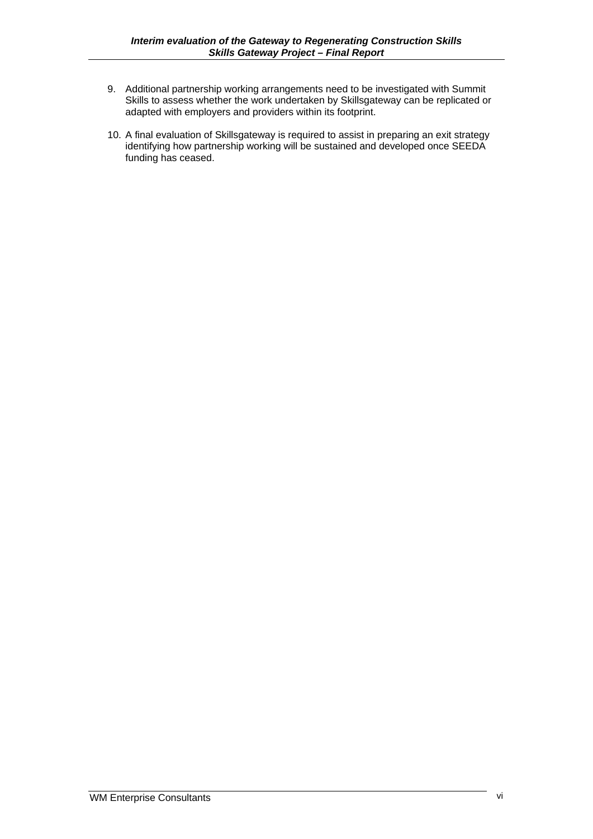- 9. Additional partnership working arrangements need to be investigated with Summit Skills to assess whether the work undertaken by Skillsgateway can be replicated or adapted with employers and providers within its footprint.
- 10. A final evaluation of Skillsgateway is required to assist in preparing an exit strategy identifying how partnership working will be sustained and developed once SEEDA funding has ceased.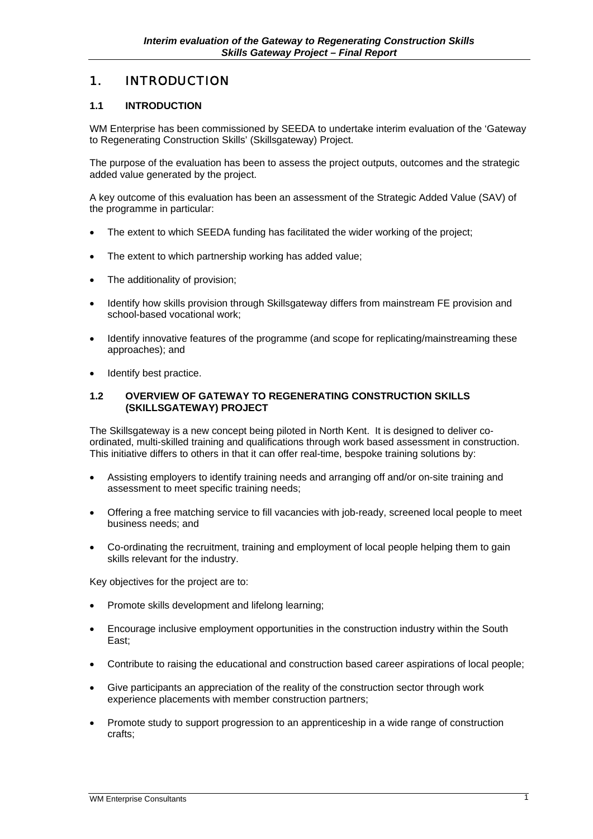### 1. INTRODUCTION

#### **1.1 INTRODUCTION**

WM Enterprise has been commissioned by SEEDA to undertake interim evaluation of the 'Gateway to Regenerating Construction Skills' (Skillsgateway) Project.

The purpose of the evaluation has been to assess the project outputs, outcomes and the strategic added value generated by the project.

A key outcome of this evaluation has been an assessment of the Strategic Added Value (SAV) of the programme in particular:

- The extent to which SEEDA funding has facilitated the wider working of the project;
- The extent to which partnership working has added value;
- The additionality of provision:
- Identify how skills provision through Skillsgateway differs from mainstream FE provision and school-based vocational work;
- Identify innovative features of the programme (and scope for replicating/mainstreaming these approaches); and
- Identify best practice.

#### **1.2 OVERVIEW OF GATEWAY TO REGENERATING CONSTRUCTION SKILLS (SKILLSGATEWAY) PROJECT**

The Skillsgateway is a new concept being piloted in North Kent. It is designed to deliver coordinated, multi-skilled training and qualifications through work based assessment in construction. This initiative differs to others in that it can offer real-time, bespoke training solutions by:

- Assisting employers to identify training needs and arranging off and/or on-site training and assessment to meet specific training needs;
- Offering a free matching service to fill vacancies with job-ready, screened local people to meet business needs; and
- Co-ordinating the recruitment, training and employment of local people helping them to gain skills relevant for the industry.

Key objectives for the project are to:

- Promote skills development and lifelong learning;
- Encourage inclusive employment opportunities in the construction industry within the South East;
- Contribute to raising the educational and construction based career aspirations of local people;
- Give participants an appreciation of the reality of the construction sector through work experience placements with member construction partners;
- Promote study to support progression to an apprenticeship in a wide range of construction crafts;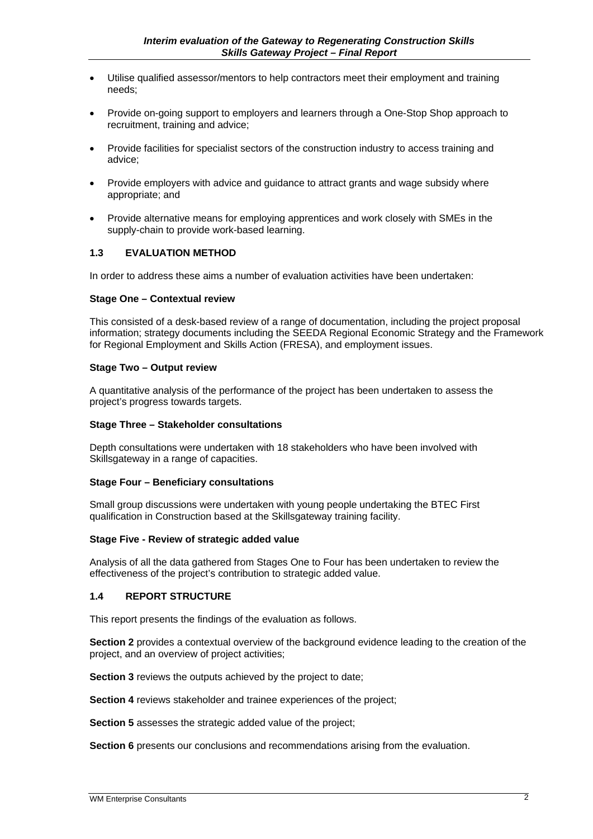- Utilise qualified assessor/mentors to help contractors meet their employment and training needs;
- Provide on-going support to employers and learners through a One-Stop Shop approach to recruitment, training and advice;
- Provide facilities for specialist sectors of the construction industry to access training and advice;
- Provide employers with advice and guidance to attract grants and wage subsidy where appropriate; and
- Provide alternative means for employing apprentices and work closely with SMEs in the supply-chain to provide work-based learning.

#### **1.3 EVALUATION METHOD**

In order to address these aims a number of evaluation activities have been undertaken:

#### **Stage One – Contextual review**

This consisted of a desk-based review of a range of documentation, including the project proposal information; strategy documents including the SEEDA Regional Economic Strategy and the Framework for Regional Employment and Skills Action (FRESA), and employment issues.

#### **Stage Two – Output review**

A quantitative analysis of the performance of the project has been undertaken to assess the project's progress towards targets.

#### **Stage Three – Stakeholder consultations**

Depth consultations were undertaken with 18 stakeholders who have been involved with Skillsgateway in a range of capacities.

#### **Stage Four – Beneficiary consultations**

Small group discussions were undertaken with young people undertaking the BTEC First qualification in Construction based at the Skillsgateway training facility.

#### **Stage Five - Review of strategic added value**

Analysis of all the data gathered from Stages One to Four has been undertaken to review the effectiveness of the project's contribution to strategic added value.

#### **1.4 REPORT STRUCTURE**

This report presents the findings of the evaluation as follows.

**Section 2** provides a contextual overview of the background evidence leading to the creation of the project, and an overview of project activities;

**Section 3** reviews the outputs achieved by the project to date;

**Section 4** reviews stakeholder and trainee experiences of the project;

**Section 5** assesses the strategic added value of the project;

**Section 6** presents our conclusions and recommendations arising from the evaluation.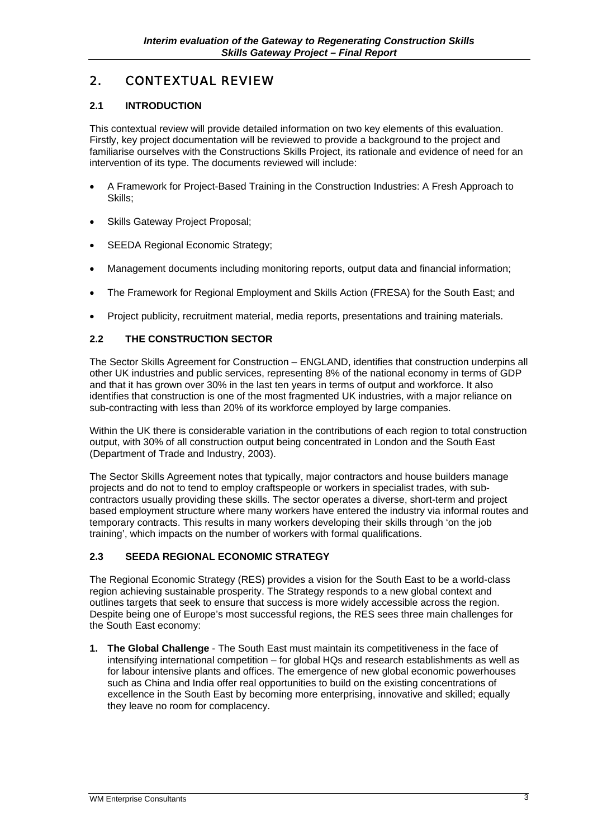## 2. CONTEXTUAL REVIEW

#### **2.1 INTRODUCTION**

This contextual review will provide detailed information on two key elements of this evaluation. Firstly, key project documentation will be reviewed to provide a background to the project and familiarise ourselves with the Constructions Skills Project, its rationale and evidence of need for an intervention of its type. The documents reviewed will include:

- A Framework for Project-Based Training in the Construction Industries: A Fresh Approach to Skills;
- Skills Gateway Project Proposal:
- SEEDA Regional Economic Strategy;
- Management documents including monitoring reports, output data and financial information;
- The Framework for Regional Employment and Skills Action (FRESA) for the South East; and
- Project publicity, recruitment material, media reports, presentations and training materials.

#### **2.2 THE CONSTRUCTION SECTOR**

The Sector Skills Agreement for Construction – ENGLAND, identifies that construction underpins all other UK industries and public services, representing 8% of the national economy in terms of GDP and that it has grown over 30% in the last ten years in terms of output and workforce. It also identifies that construction is one of the most fragmented UK industries, with a major reliance on sub-contracting with less than 20% of its workforce employed by large companies.

Within the UK there is considerable variation in the contributions of each region to total construction output, with 30% of all construction output being concentrated in London and the South East (Department of Trade and Industry, 2003).

The Sector Skills Agreement notes that typically, major contractors and house builders manage projects and do not to tend to employ craftspeople or workers in specialist trades, with subcontractors usually providing these skills. The sector operates a diverse, short-term and project based employment structure where many workers have entered the industry via informal routes and temporary contracts. This results in many workers developing their skills through 'on the job training', which impacts on the number of workers with formal qualifications.

#### **2.3 SEEDA REGIONAL ECONOMIC STRATEGY**

The Regional Economic Strategy (RES) provides a vision for the South East to be a world-class region achieving sustainable prosperity. The Strategy responds to a new global context and outlines targets that seek to ensure that success is more widely accessible across the region. Despite being one of Europe's most successful regions, the RES sees three main challenges for the South East economy:

**1. The Global Challenge** - The South East must maintain its competitiveness in the face of intensifying international competition – for global HQs and research establishments as well as for labour intensive plants and offices. The emergence of new global economic powerhouses such as China and India offer real opportunities to build on the existing concentrations of excellence in the South East by becoming more enterprising, innovative and skilled; equally they leave no room for complacency.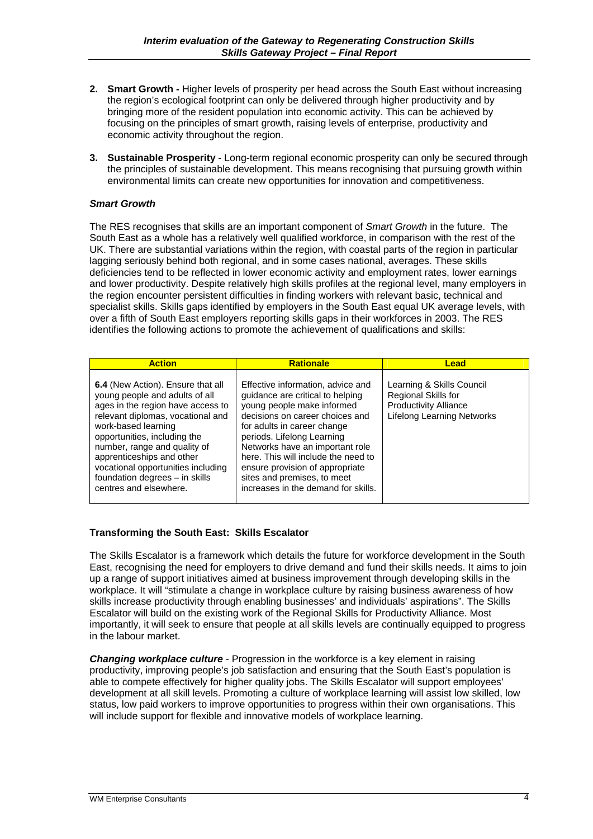- **2. Smart Growth** Higher levels of prosperity per head across the South East without increasing the region's ecological footprint can only be delivered through higher productivity and by bringing more of the resident population into economic activity. This can be achieved by focusing on the principles of smart growth, raising levels of enterprise, productivity and economic activity throughout the region.
- **3. Sustainable Prosperity** Long-term regional economic prosperity can only be secured through the principles of sustainable development. This means recognising that pursuing growth within environmental limits can create new opportunities for innovation and competitiveness.

#### *Smart Growth*

The RES recognises that skills are an important component of *Smart Growth* in the future. The South East as a whole has a relatively well qualified workforce, in comparison with the rest of the UK. There are substantial variations within the region, with coastal parts of the region in particular lagging seriously behind both regional, and in some cases national, averages. These skills deficiencies tend to be reflected in lower economic activity and employment rates, lower earnings and lower productivity. Despite relatively high skills profiles at the regional level, many employers in the region encounter persistent difficulties in finding workers with relevant basic, technical and specialist skills. Skills gaps identified by employers in the South East equal UK average levels, with over a fifth of South East employers reporting skills gaps in their workforces in 2003. The RES identifies the following actions to promote the achievement of qualifications and skills:

| <b>Action</b>                                                                                                                                                                                                                                                                                                                                                       | <b>Rationale</b>                                                                                                                                                                                                                                                                                                                                                                       | Lead                                                                                                                  |
|---------------------------------------------------------------------------------------------------------------------------------------------------------------------------------------------------------------------------------------------------------------------------------------------------------------------------------------------------------------------|----------------------------------------------------------------------------------------------------------------------------------------------------------------------------------------------------------------------------------------------------------------------------------------------------------------------------------------------------------------------------------------|-----------------------------------------------------------------------------------------------------------------------|
| 6.4 (New Action). Ensure that all<br>young people and adults of all<br>ages in the region have access to<br>relevant diplomas, vocational and<br>work-based learning<br>opportunities, including the<br>number, range and quality of<br>apprenticeships and other<br>vocational opportunities including<br>foundation degrees - in skills<br>centres and elsewhere. | Effective information, advice and<br>quidance are critical to helping<br>young people make informed<br>decisions on career choices and<br>for adults in career change<br>periods. Lifelong Learning<br>Networks have an important role<br>here. This will include the need to<br>ensure provision of appropriate<br>sites and premises, to meet<br>increases in the demand for skills. | Learning & Skills Council<br>Regional Skills for<br><b>Productivity Alliance</b><br><b>Lifelong Learning Networks</b> |

#### **Transforming the South East: Skills Escalator**

The Skills Escalator is a framework which details the future for workforce development in the South East, recognising the need for employers to drive demand and fund their skills needs. It aims to join up a range of support initiatives aimed at business improvement through developing skills in the workplace. It will "stimulate a change in workplace culture by raising business awareness of how skills increase productivity through enabling businesses' and individuals' aspirations". The Skills Escalator will build on the existing work of the Regional Skills for Productivity Alliance. Most importantly, it will seek to ensure that people at all skills levels are continually equipped to progress in the labour market.

*Changing workplace culture* - Progression in the workforce is a key element in raising productivity, improving people's job satisfaction and ensuring that the South East's population is able to compete effectively for higher quality jobs. The Skills Escalator will support employees' development at all skill levels. Promoting a culture of workplace learning will assist low skilled, low status, low paid workers to improve opportunities to progress within their own organisations. This will include support for flexible and innovative models of workplace learning.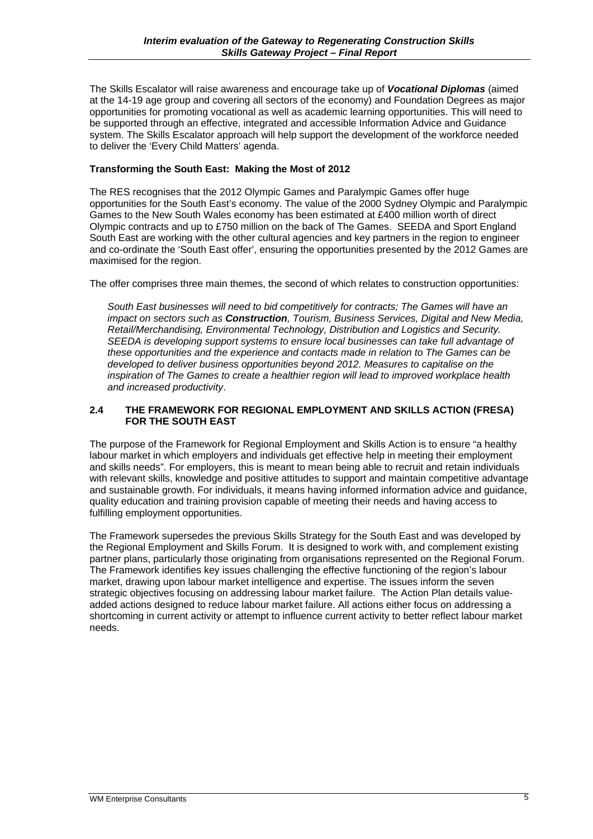The Skills Escalator will raise awareness and encourage take up of *Vocational Diplomas* (aimed at the 14-19 age group and covering all sectors of the economy) and Foundation Degrees as major opportunities for promoting vocational as well as academic learning opportunities. This will need to be supported through an effective, integrated and accessible Information Advice and Guidance system. The Skills Escalator approach will help support the development of the workforce needed to deliver the 'Every Child Matters' agenda.

#### **Transforming the South East: Making the Most of 2012**

The RES recognises that the 2012 Olympic Games and Paralympic Games offer huge opportunities for the South East's economy. The value of the 2000 Sydney Olympic and Paralympic Games to the New South Wales economy has been estimated at £400 million worth of direct Olympic contracts and up to £750 million on the back of The Games. SEEDA and Sport England South East are working with the other cultural agencies and key partners in the region to engineer and co-ordinate the 'South East offer', ensuring the opportunities presented by the 2012 Games are maximised for the region.

The offer comprises three main themes, the second of which relates to construction opportunities:

*South East businesses will need to bid competitively for contracts; The Games will have an impact on sectors such as Construction, Tourism, Business Services, Digital and New Media, Retail/Merchandising, Environmental Technology, Distribution and Logistics and Security. SEEDA is developing support systems to ensure local businesses can take full advantage of these opportunities and the experience and contacts made in relation to The Games can be developed to deliver business opportunities beyond 2012. Measures to capitalise on the inspiration of The Games to create a healthier region will lead to improved workplace health and increased productivity*.

#### **2.4 THE FRAMEWORK FOR REGIONAL EMPLOYMENT AND SKILLS ACTION (FRESA) FOR THE SOUTH EAST**

The purpose of the Framework for Regional Employment and Skills Action is to ensure "a healthy labour market in which employers and individuals get effective help in meeting their employment and skills needs". For employers, this is meant to mean being able to recruit and retain individuals with relevant skills, knowledge and positive attitudes to support and maintain competitive advantage and sustainable growth. For individuals, it means having informed information advice and guidance, quality education and training provision capable of meeting their needs and having access to fulfilling employment opportunities.

The Framework supersedes the previous Skills Strategy for the South East and was developed by the Regional Employment and Skills Forum. It is designed to work with, and complement existing partner plans, particularly those originating from organisations represented on the Regional Forum. The Framework identifies key issues challenging the effective functioning of the region's labour market, drawing upon labour market intelligence and expertise. The issues inform the seven strategic objectives focusing on addressing labour market failure. The Action Plan details valueadded actions designed to reduce labour market failure. All actions either focus on addressing a shortcoming in current activity or attempt to influence current activity to better reflect labour market needs.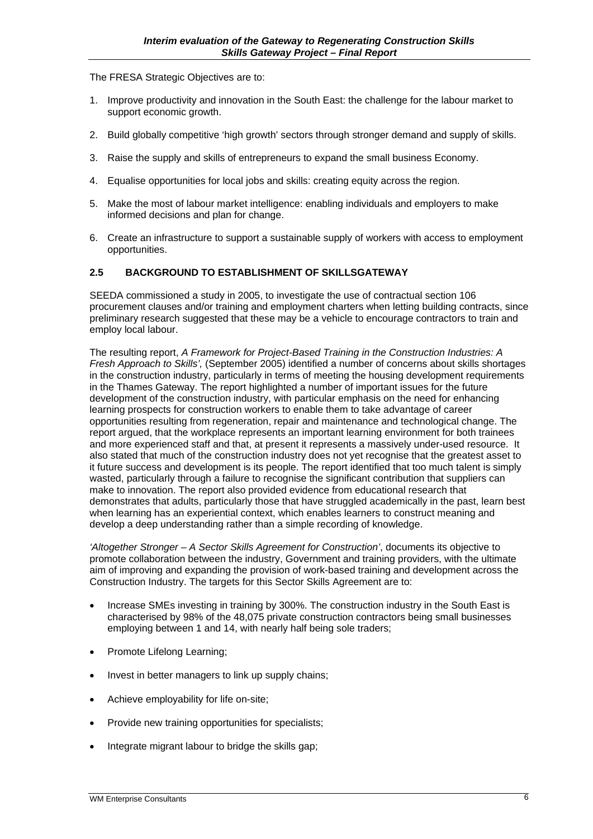The FRESA Strategic Objectives are to:

- 1. Improve productivity and innovation in the South East: the challenge for the labour market to support economic growth.
- 2. Build globally competitive 'high growth' sectors through stronger demand and supply of skills.
- 3. Raise the supply and skills of entrepreneurs to expand the small business Economy.
- 4. Equalise opportunities for local jobs and skills: creating equity across the region.
- 5. Make the most of labour market intelligence: enabling individuals and employers to make informed decisions and plan for change.
- 6. Create an infrastructure to support a sustainable supply of workers with access to employment opportunities.

#### **2.5 BACKGROUND TO ESTABLISHMENT OF SKILLSGATEWAY**

SEEDA commissioned a study in 2005, to investigate the use of contractual section 106 procurement clauses and/or training and employment charters when letting building contracts, since preliminary research suggested that these may be a vehicle to encourage contractors to train and employ local labour.

The resulting report, *A Framework for Project-Based Training in the Construction Industries: A Fresh Approach to Skills',* (September 2005) identified a number of concerns about skills shortages in the construction industry, particularly in terms of meeting the housing development requirements in the Thames Gateway. The report highlighted a number of important issues for the future development of the construction industry, with particular emphasis on the need for enhancing learning prospects for construction workers to enable them to take advantage of career opportunities resulting from regeneration, repair and maintenance and technological change. The report argued, that the workplace represents an important learning environment for both trainees and more experienced staff and that, at present it represents a massively under-used resource. It also stated that much of the construction industry does not yet recognise that the greatest asset to it future success and development is its people. The report identified that too much talent is simply wasted, particularly through a failure to recognise the significant contribution that suppliers can make to innovation. The report also provided evidence from educational research that demonstrates that adults, particularly those that have struggled academically in the past, learn best when learning has an experiential context, which enables learners to construct meaning and develop a deep understanding rather than a simple recording of knowledge.

*'Altogether Stronger – A Sector Skills Agreement for Construction'*, documents its objective to promote collaboration between the industry, Government and training providers, with the ultimate aim of improving and expanding the provision of work-based training and development across the Construction Industry. The targets for this Sector Skills Agreement are to:

- Increase SMEs investing in training by 300%. The construction industry in the South East is characterised by 98% of the 48,075 private construction contractors being small businesses employing between 1 and 14, with nearly half being sole traders;
- Promote Lifelong Learning;
- Invest in better managers to link up supply chains;
- Achieve employability for life on-site;
- Provide new training opportunities for specialists;
- Integrate migrant labour to bridge the skills gap;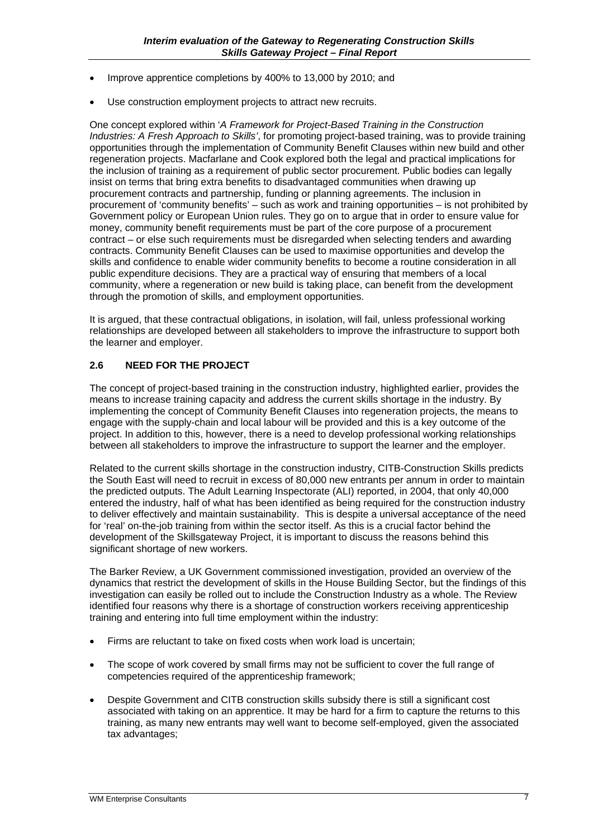- Improve apprentice completions by 400% to 13,000 by 2010; and
- Use construction employment projects to attract new recruits.

One concept explored within '*A Framework for Project-Based Training in the Construction Industries: A Fresh Approach to Skills'*, for promoting project-based training, was to provide training opportunities through the implementation of Community Benefit Clauses within new build and other regeneration projects. Macfarlane and Cook explored both the legal and practical implications for the inclusion of training as a requirement of public sector procurement. Public bodies can legally insist on terms that bring extra benefits to disadvantaged communities when drawing up procurement contracts and partnership, funding or planning agreements. The inclusion in procurement of 'community benefits' – such as work and training opportunities – is not prohibited by Government policy or European Union rules. They go on to argue that in order to ensure value for money, community benefit requirements must be part of the core purpose of a procurement contract – or else such requirements must be disregarded when selecting tenders and awarding contracts. Community Benefit Clauses can be used to maximise opportunities and develop the skills and confidence to enable wider community benefits to become a routine consideration in all public expenditure decisions. They are a practical way of ensuring that members of a local community, where a regeneration or new build is taking place, can benefit from the development through the promotion of skills, and employment opportunities.

It is argued, that these contractual obligations, in isolation, will fail, unless professional working relationships are developed between all stakeholders to improve the infrastructure to support both the learner and employer.

#### **2.6 NEED FOR THE PROJECT**

The concept of project-based training in the construction industry, highlighted earlier, provides the means to increase training capacity and address the current skills shortage in the industry. By implementing the concept of Community Benefit Clauses into regeneration projects, the means to engage with the supply-chain and local labour will be provided and this is a key outcome of the project. In addition to this, however, there is a need to develop professional working relationships between all stakeholders to improve the infrastructure to support the learner and the employer.

Related to the current skills shortage in the construction industry, CITB-Construction Skills predicts the South East will need to recruit in excess of 80,000 new entrants per annum in order to maintain the predicted outputs. The Adult Learning Inspectorate (ALI) reported, in 2004, that only 40,000 entered the industry, half of what has been identified as being required for the construction industry to deliver effectively and maintain sustainability. This is despite a universal acceptance of the need for 'real' on-the-job training from within the sector itself. As this is a crucial factor behind the development of the Skillsgateway Project, it is important to discuss the reasons behind this significant shortage of new workers.

The Barker Review, a UK Government commissioned investigation, provided an overview of the dynamics that restrict the development of skills in the House Building Sector, but the findings of this investigation can easily be rolled out to include the Construction Industry as a whole. The Review identified four reasons why there is a shortage of construction workers receiving apprenticeship training and entering into full time employment within the industry:

- Firms are reluctant to take on fixed costs when work load is uncertain;
- The scope of work covered by small firms may not be sufficient to cover the full range of competencies required of the apprenticeship framework;
- Despite Government and CITB construction skills subsidy there is still a significant cost associated with taking on an apprentice. It may be hard for a firm to capture the returns to this training, as many new entrants may well want to become self-employed, given the associated tax advantages;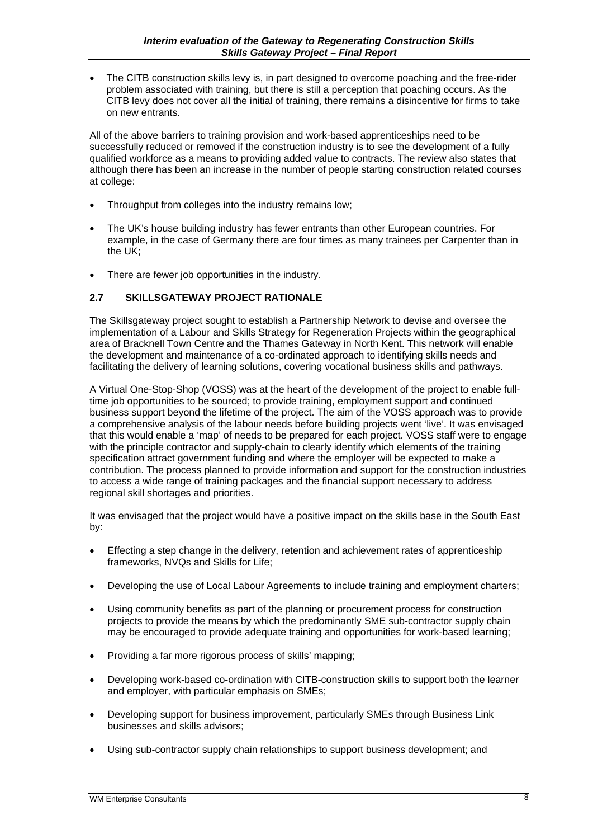• The CITB construction skills levy is, in part designed to overcome poaching and the free-rider problem associated with training, but there is still a perception that poaching occurs. As the CITB levy does not cover all the initial of training, there remains a disincentive for firms to take on new entrants.

All of the above barriers to training provision and work-based apprenticeships need to be successfully reduced or removed if the construction industry is to see the development of a fully qualified workforce as a means to providing added value to contracts. The review also states that although there has been an increase in the number of people starting construction related courses at college:

- Throughput from colleges into the industry remains low;
- The UK's house building industry has fewer entrants than other European countries. For example, in the case of Germany there are four times as many trainees per Carpenter than in the UK;
- There are fewer job opportunities in the industry.

#### **2.7 SKILLSGATEWAY PROJECT RATIONALE**

The Skillsgateway project sought to establish a Partnership Network to devise and oversee the implementation of a Labour and Skills Strategy for Regeneration Projects within the geographical area of Bracknell Town Centre and the Thames Gateway in North Kent. This network will enable the development and maintenance of a co-ordinated approach to identifying skills needs and facilitating the delivery of learning solutions, covering vocational business skills and pathways.

A Virtual One-Stop-Shop (VOSS) was at the heart of the development of the project to enable fulltime job opportunities to be sourced; to provide training, employment support and continued business support beyond the lifetime of the project. The aim of the VOSS approach was to provide a comprehensive analysis of the labour needs before building projects went 'live'. It was envisaged that this would enable a 'map' of needs to be prepared for each project. VOSS staff were to engage with the principle contractor and supply-chain to clearly identify which elements of the training specification attract government funding and where the employer will be expected to make a contribution. The process planned to provide information and support for the construction industries to access a wide range of training packages and the financial support necessary to address regional skill shortages and priorities.

It was envisaged that the project would have a positive impact on the skills base in the South East by:

- Effecting a step change in the delivery, retention and achievement rates of apprenticeship frameworks, NVQs and Skills for Life;
- Developing the use of Local Labour Agreements to include training and employment charters;
- Using community benefits as part of the planning or procurement process for construction projects to provide the means by which the predominantly SME sub-contractor supply chain may be encouraged to provide adequate training and opportunities for work-based learning;
- Providing a far more rigorous process of skills' mapping;
- Developing work-based co-ordination with CITB-construction skills to support both the learner and employer, with particular emphasis on SMEs;
- Developing support for business improvement, particularly SMEs through Business Link businesses and skills advisors;
- Using sub-contractor supply chain relationships to support business development; and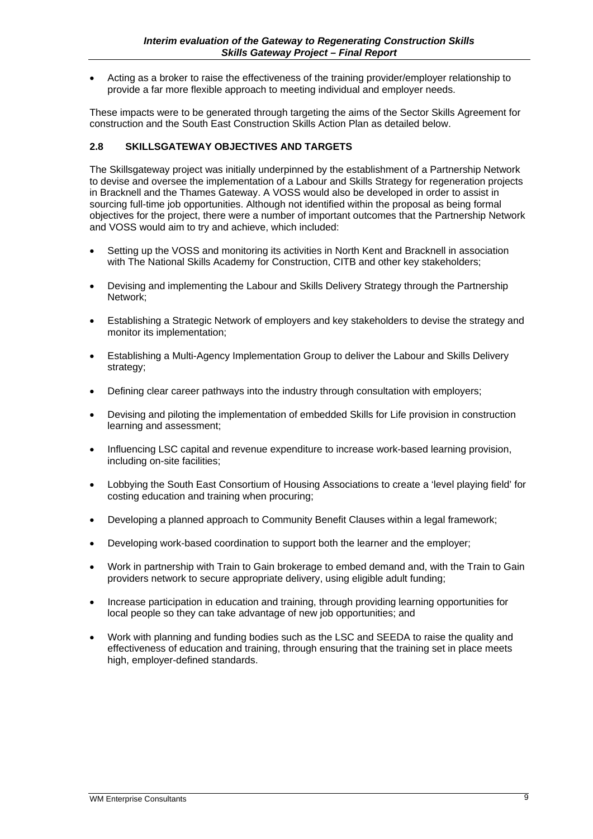• Acting as a broker to raise the effectiveness of the training provider/employer relationship to provide a far more flexible approach to meeting individual and employer needs.

These impacts were to be generated through targeting the aims of the Sector Skills Agreement for construction and the South East Construction Skills Action Plan as detailed below.

#### **2.8 SKILLSGATEWAY OBJECTIVES AND TARGETS**

The Skillsgateway project was initially underpinned by the establishment of a Partnership Network to devise and oversee the implementation of a Labour and Skills Strategy for regeneration projects in Bracknell and the Thames Gateway. A VOSS would also be developed in order to assist in sourcing full-time job opportunities. Although not identified within the proposal as being formal objectives for the project, there were a number of important outcomes that the Partnership Network and VOSS would aim to try and achieve, which included:

- Setting up the VOSS and monitoring its activities in North Kent and Bracknell in association with The National Skills Academy for Construction, CITB and other key stakeholders;
- Devising and implementing the Labour and Skills Delivery Strategy through the Partnership Network;
- Establishing a Strategic Network of employers and key stakeholders to devise the strategy and monitor its implementation;
- Establishing a Multi-Agency Implementation Group to deliver the Labour and Skills Delivery strategy:
- Defining clear career pathways into the industry through consultation with employers;
- Devising and piloting the implementation of embedded Skills for Life provision in construction learning and assessment;
- Influencing LSC capital and revenue expenditure to increase work-based learning provision, including on-site facilities;
- Lobbying the South East Consortium of Housing Associations to create a 'level playing field' for costing education and training when procuring;
- Developing a planned approach to Community Benefit Clauses within a legal framework;
- Developing work-based coordination to support both the learner and the employer;
- Work in partnership with Train to Gain brokerage to embed demand and, with the Train to Gain providers network to secure appropriate delivery, using eligible adult funding;
- Increase participation in education and training, through providing learning opportunities for local people so they can take advantage of new job opportunities; and
- Work with planning and funding bodies such as the LSC and SEEDA to raise the quality and effectiveness of education and training, through ensuring that the training set in place meets high, employer-defined standards.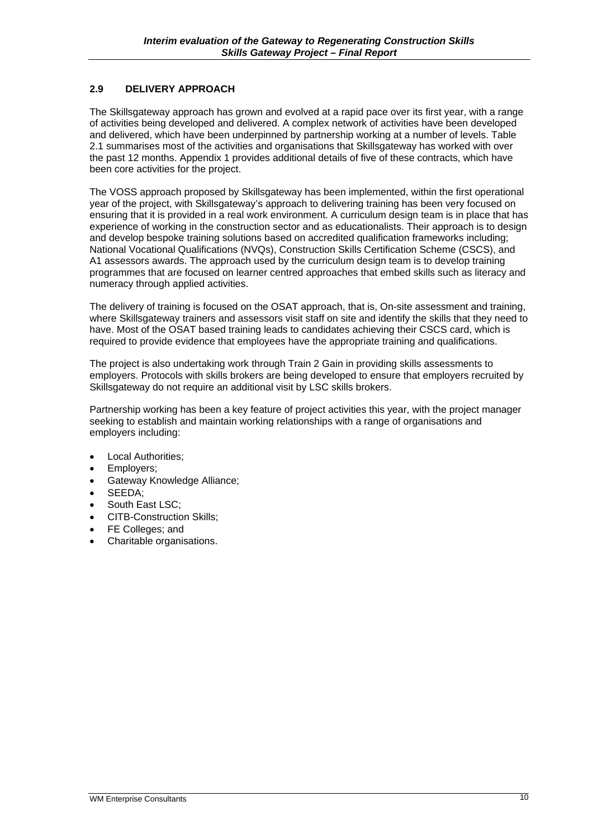#### **2.9 DELIVERY APPROACH**

The Skillsgateway approach has grown and evolved at a rapid pace over its first year, with a range of activities being developed and delivered. A complex network of activities have been developed and delivered, which have been underpinned by partnership working at a number of levels. Table 2.1 summarises most of the activities and organisations that Skillsgateway has worked with over the past 12 months. Appendix 1 provides additional details of five of these contracts, which have been core activities for the project.

The VOSS approach proposed by Skillsgateway has been implemented, within the first operational year of the project, with Skillsgateway's approach to delivering training has been very focused on ensuring that it is provided in a real work environment. A curriculum design team is in place that has experience of working in the construction sector and as educationalists. Their approach is to design and develop bespoke training solutions based on accredited qualification frameworks including; National Vocational Qualifications (NVQs), Construction Skills Certification Scheme (CSCS), and A1 assessors awards. The approach used by the curriculum design team is to develop training programmes that are focused on learner centred approaches that embed skills such as literacy and numeracy through applied activities.

The delivery of training is focused on the OSAT approach, that is, On-site assessment and training, where Skillsgateway trainers and assessors visit staff on site and identify the skills that they need to have. Most of the OSAT based training leads to candidates achieving their CSCS card, which is required to provide evidence that employees have the appropriate training and qualifications.

The project is also undertaking work through Train 2 Gain in providing skills assessments to employers. Protocols with skills brokers are being developed to ensure that employers recruited by Skillsgateway do not require an additional visit by LSC skills brokers.

Partnership working has been a key feature of project activities this year, with the project manager seeking to establish and maintain working relationships with a range of organisations and employers including:

- Local Authorities;
- Employers;
- Gateway Knowledge Alliance;
- SEEDA;
- South East LSC:
- CITB-Construction Skills;
- FE Colleges; and
- Charitable organisations.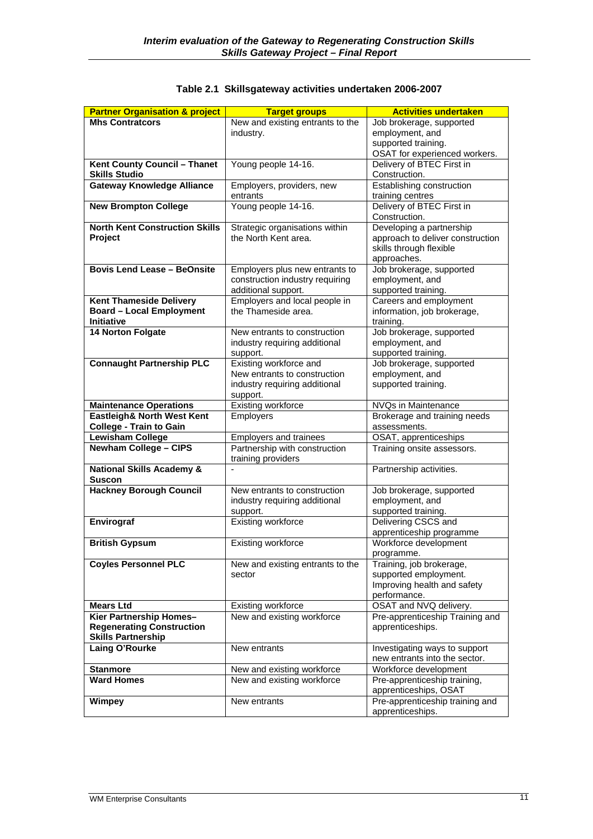| <b>Partner Organisation &amp; project</b> | <b>Target groups</b>                             | <b>Activities undertaken</b>                |
|-------------------------------------------|--------------------------------------------------|---------------------------------------------|
| <b>Mhs Contratcors</b>                    | New and existing entrants to the                 | Job brokerage, supported                    |
|                                           | industry.                                        | employment, and                             |
|                                           |                                                  | supported training.                         |
|                                           |                                                  | OSAT for experienced workers.               |
| Kent County Council - Thanet              | Young people 14-16.                              | Delivery of BTEC First in                   |
| <b>Skills Studio</b>                      |                                                  | Construction.                               |
| <b>Gateway Knowledge Alliance</b>         | Employers, providers, new                        | Establishing construction                   |
|                                           | entrants                                         | training centres                            |
| <b>New Brompton College</b>               | Young people 14-16.                              | Delivery of BTEC First in                   |
|                                           |                                                  | Construction.                               |
| <b>North Kent Construction Skills</b>     | Strategic organisations within                   | Developing a partnership                    |
| Project                                   | the North Kent area.                             | approach to deliver construction            |
|                                           |                                                  | skills through flexible                     |
|                                           |                                                  | approaches.                                 |
| <b>Bovis Lend Lease - BeOnsite</b>        | Employers plus new entrants to                   | Job brokerage, supported                    |
|                                           | construction industry requiring                  | employment, and                             |
|                                           | additional support.                              | supported training.                         |
| <b>Kent Thameside Delivery</b>            | Employers and local people in                    | Careers and employment                      |
| <b>Board - Local Employment</b>           | the Thameside area.                              | information, job brokerage,                 |
| <b>Initiative</b>                         |                                                  | training.                                   |
| <b>14 Norton Folgate</b>                  | New entrants to construction                     | Job brokerage, supported                    |
|                                           | industry requiring additional                    | employment, and                             |
|                                           | support.                                         | supported training.                         |
| <b>Connaught Partnership PLC</b>          | Existing workforce and                           | Job brokerage, supported                    |
|                                           | New entrants to construction                     | employment, and                             |
|                                           | industry requiring additional                    | supported training.                         |
| <b>Maintenance Operations</b>             | support.<br><b>Existing workforce</b>            | NVQs in Maintenance                         |
| Eastleigh& North West Kent                | <b>Employers</b>                                 | Brokerage and training needs                |
| <b>College - Train to Gain</b>            |                                                  | assessments.                                |
| <b>Lewisham College</b>                   | Employers and trainees                           | OSAT, apprenticeships                       |
| <b>Newham College - CIPS</b>              | Partnership with construction                    | Training onsite assessors.                  |
|                                           | training providers                               |                                             |
| <b>National Skills Academy &amp;</b>      |                                                  | Partnership activities.                     |
| <b>Suscon</b>                             |                                                  |                                             |
| <b>Hackney Borough Council</b>            | New entrants to construction                     | Job brokerage, supported                    |
|                                           | industry requiring additional                    | employment, and                             |
|                                           | support.                                         | supported training.                         |
| Envirograf                                | Existing workforce                               | Delivering CSCS and                         |
|                                           |                                                  | apprenticeship programme                    |
| <b>British Gypsum</b>                     | Existing workforce                               | Workforce development                       |
|                                           |                                                  | programme.                                  |
| <b>Coyles Personnel PLC</b>               | New and existing entrants to the                 | Training, job brokerage,                    |
|                                           | sector                                           | supported employment.                       |
|                                           |                                                  | Improving health and safety<br>performance. |
| <b>Mears Ltd</b>                          |                                                  | OSAT and NVQ delivery.                      |
| Kier Partnership Homes-                   | Existing workforce<br>New and existing workforce | Pre-apprenticeship Training and             |
| <b>Regenerating Construction</b>          |                                                  | apprenticeships.                            |
| <b>Skills Partnership</b>                 |                                                  |                                             |
| Laing O'Rourke                            | New entrants                                     | Investigating ways to support               |
|                                           |                                                  | new entrants into the sector.               |
| <b>Stanmore</b>                           | New and existing workforce                       | Workforce development                       |
| <b>Ward Homes</b>                         | New and existing workforce                       | Pre-apprenticeship training,                |
|                                           |                                                  | apprenticeships, OSAT                       |
| <b>Wimpey</b>                             | New entrants                                     | Pre-apprenticeship training and             |
|                                           |                                                  | apprenticeships.                            |

### **Table 2.1 Skillsgateway activities undertaken 2006-2007**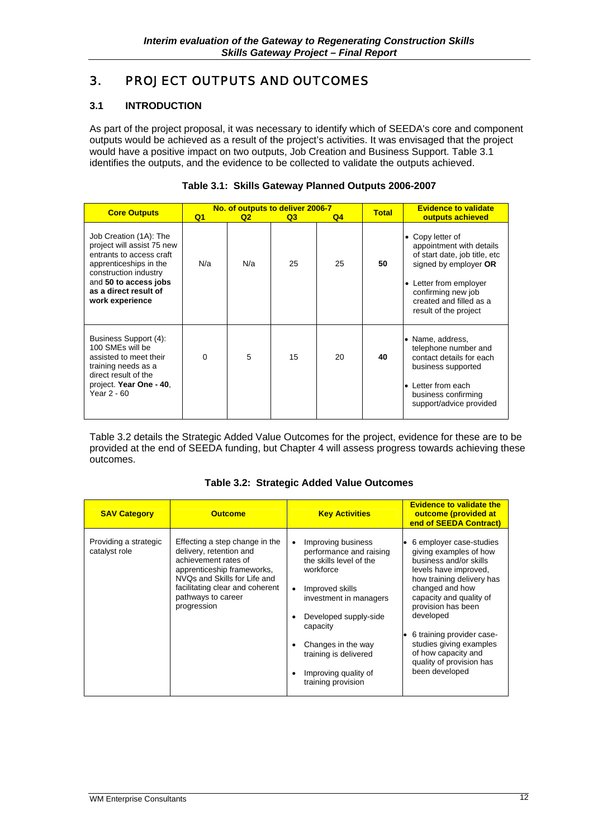## 3. PROJECT OUTPUTS AND OUTCOMES

#### **3.1 INTRODUCTION**

As part of the project proposal, it was necessary to identify which of SEEDA's core and component outputs would be achieved as a result of the project's activities. It was envisaged that the project would have a positive impact on two outputs, Job Creation and Business Support. Table 3.1 identifies the outputs, and the evidence to be collected to validate the outputs achieved.

| <b>Core Outputs</b>                                                                                                                                                                                      | No. of outputs to deliver 2006-7 |    |                                                                                                                                                                                                        | <b>Total</b>   | <b>Evidence to validate</b> |                                                                                                                                                                               |
|----------------------------------------------------------------------------------------------------------------------------------------------------------------------------------------------------------|----------------------------------|----|--------------------------------------------------------------------------------------------------------------------------------------------------------------------------------------------------------|----------------|-----------------------------|-------------------------------------------------------------------------------------------------------------------------------------------------------------------------------|
|                                                                                                                                                                                                          | Q <sub>1</sub>                   | Q2 | Q3                                                                                                                                                                                                     | Q <sub>4</sub> |                             | outputs achieved                                                                                                                                                              |
| Job Creation (1A): The<br>project will assist 75 new<br>entrants to access craft<br>apprenticeships in the<br>construction industry<br>and 50 to access jobs<br>as a direct result of<br>work experience | N/a<br>N/a<br>25<br>25<br>50     |    | Copy letter of<br>appointment with details<br>of start date, job title, etc<br>signed by employer OR<br>Letter from employer<br>confirming new job<br>created and filled as a<br>result of the project |                |                             |                                                                                                                                                                               |
| Business Support (4):<br>100 SMEs will be<br>assisted to meet their<br>training needs as a<br>direct result of the<br>project. Year One - 40,<br>Year 2 - 60                                             | $\Omega$                         | 5  | 15                                                                                                                                                                                                     | 20             | 40                          | • Name, address,<br>telephone number and<br>contact details for each<br>business supported<br>Letter from each<br>$\bullet$<br>business confirming<br>support/advice provided |

| Table 3.1: Skills Gateway Planned Outputs 2006-2007 |  |  |  |  |  |
|-----------------------------------------------------|--|--|--|--|--|
|-----------------------------------------------------|--|--|--|--|--|

Table 3.2 details the Strategic Added Value Outcomes for the project, evidence for these are to be provided at the end of SEEDA funding, but Chapter 4 will assess progress towards achieving these outcomes.

|  | Table 3.2: Strategic Added Value Outcomes |
|--|-------------------------------------------|
|  |                                           |

| <b>SAV Category</b>                    | <b>Outcome</b>                                                                                                                                                                                                          | <b>Key Activities</b>                                                                                                                                                                                                                                                                                                 | <b>Evidence to validate the</b><br>outcome (provided at<br>end of SEEDA Contract)                                                                                                                                                                                                                                                               |
|----------------------------------------|-------------------------------------------------------------------------------------------------------------------------------------------------------------------------------------------------------------------------|-----------------------------------------------------------------------------------------------------------------------------------------------------------------------------------------------------------------------------------------------------------------------------------------------------------------------|-------------------------------------------------------------------------------------------------------------------------------------------------------------------------------------------------------------------------------------------------------------------------------------------------------------------------------------------------|
| Providing a strategic<br>catalyst role | Effecting a step change in the<br>delivery, retention and<br>achievement rates of<br>apprenticeship frameworks,<br>NVQs and Skills for Life and<br>facilitating clear and coherent<br>pathways to career<br>progression | Improving business<br>$\bullet$<br>performance and raising<br>the skills level of the<br>workforce<br>Improved skills<br>$\bullet$<br>investment in managers<br>Developed supply-side<br>$\bullet$<br>capacity<br>Changes in the way<br>٠<br>training is delivered<br>Improving quality of<br>٠<br>training provision | 6 employer case-studies<br>giving examples of how<br>business and/or skills<br>levels have improved.<br>how training delivery has<br>changed and how<br>capacity and quality of<br>provision has been<br>developed<br>6 training provider case-<br>studies giving examples<br>of how capacity and<br>quality of provision has<br>been developed |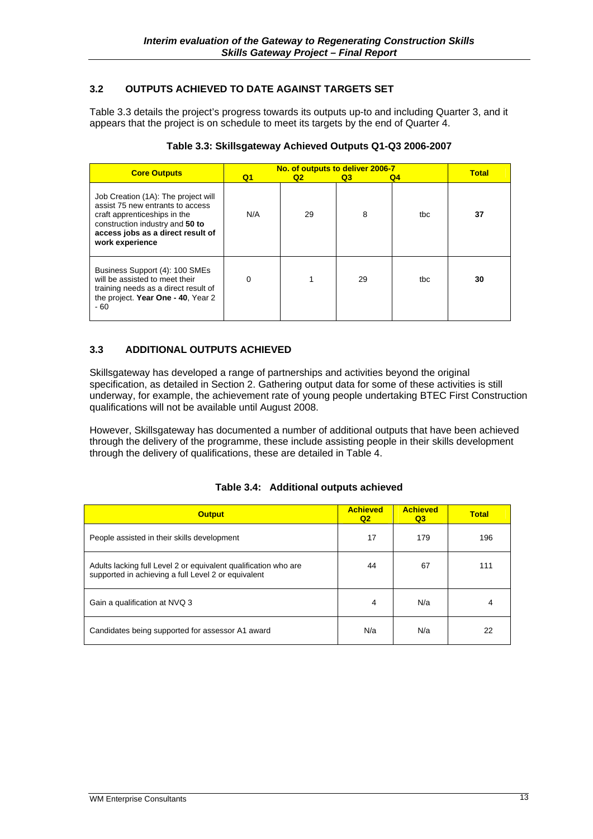#### **3.2 OUTPUTS ACHIEVED TO DATE AGAINST TARGETS SET**

Table 3.3 details the project's progress towards its outputs up-to and including Quarter 3, and it appears that the project is on schedule to meet its targets by the end of Quarter 4.

| <b>Core Outputs</b>                                                                                                                                                                                | Q <sub>1</sub> | No. of outputs to deliver 2006-7<br>Q2 | Q3 | Q <sub>4</sub> | <b>Total</b> |
|----------------------------------------------------------------------------------------------------------------------------------------------------------------------------------------------------|----------------|----------------------------------------|----|----------------|--------------|
| Job Creation (1A): The project will<br>assist 75 new entrants to access<br>craft apprenticeships in the<br>construction industry and 50 to<br>access jobs as a direct result of<br>work experience | N/A            | 29                                     | 8  | tbc            | 37           |
| Business Support (4): 100 SMEs<br>will be assisted to meet their<br>training needs as a direct result of<br>the project. Year One - 40, Year 2<br>- 60                                             | 0              |                                        | 29 | tbc            | 30           |

#### **Table 3.3: Skillsgateway Achieved Outputs Q1-Q3 2006-2007**

#### **3.3 ADDITIONAL OUTPUTS ACHIEVED**

Skillsgateway has developed a range of partnerships and activities beyond the original specification, as detailed in Section 2. Gathering output data for some of these activities is still underway, for example, the achievement rate of young people undertaking BTEC First Construction qualifications will not be available until August 2008.

However, Skillsgateway has documented a number of additional outputs that have been achieved through the delivery of the programme, these include assisting people in their skills development through the delivery of qualifications, these are detailed in Table 4.

|  | Table 3.4: Additional outputs achieved |  |  |
|--|----------------------------------------|--|--|
|--|----------------------------------------|--|--|

| <b>Output</b>                                                                                                          | <b>Achieved</b><br>Q <sub>2</sub> | <b>Achieved</b><br>Q <sub>3</sub> | <b>Total</b> |
|------------------------------------------------------------------------------------------------------------------------|-----------------------------------|-----------------------------------|--------------|
| People assisted in their skills development                                                                            | 17                                | 179                               | 196          |
| Adults lacking full Level 2 or equivalent qualification who are<br>supported in achieving a full Level 2 or equivalent | 44                                | 67                                | 111          |
| Gain a qualification at NVQ 3                                                                                          | 4                                 | N/a                               | 4            |
| Candidates being supported for assessor A1 award                                                                       | N/a                               | N/a                               | 22           |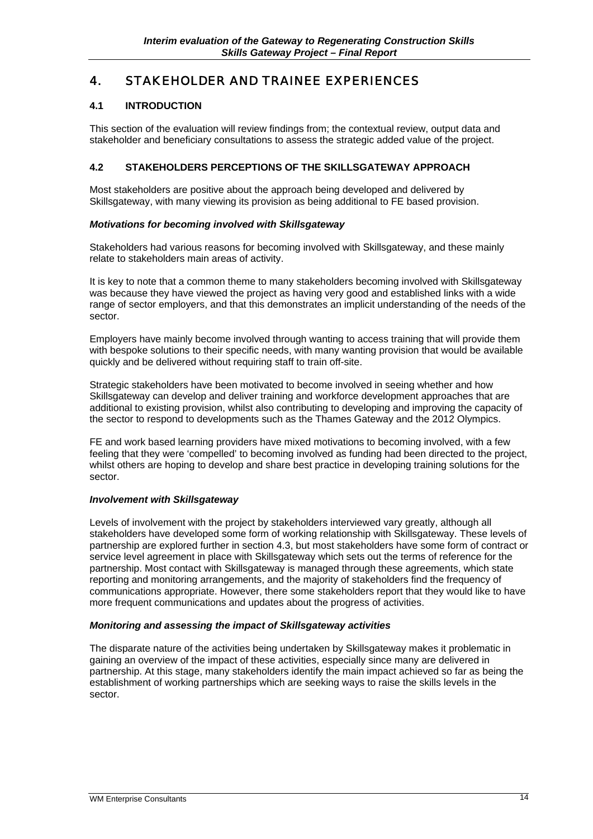## 4. STAKEHOLDER AND TRAINEE EXPERIENCES

#### **4.1 INTRODUCTION**

This section of the evaluation will review findings from; the contextual review, output data and stakeholder and beneficiary consultations to assess the strategic added value of the project.

#### **4.2 STAKEHOLDERS PERCEPTIONS OF THE SKILLSGATEWAY APPROACH**

Most stakeholders are positive about the approach being developed and delivered by Skillsgateway, with many viewing its provision as being additional to FE based provision.

#### *Motivations for becoming involved with Skillsgateway*

Stakeholders had various reasons for becoming involved with Skillsgateway, and these mainly relate to stakeholders main areas of activity.

It is key to note that a common theme to many stakeholders becoming involved with Skillsgateway was because they have viewed the project as having very good and established links with a wide range of sector employers, and that this demonstrates an implicit understanding of the needs of the sector.

Employers have mainly become involved through wanting to access training that will provide them with bespoke solutions to their specific needs, with many wanting provision that would be available quickly and be delivered without requiring staff to train off-site.

Strategic stakeholders have been motivated to become involved in seeing whether and how Skillsgateway can develop and deliver training and workforce development approaches that are additional to existing provision, whilst also contributing to developing and improving the capacity of the sector to respond to developments such as the Thames Gateway and the 2012 Olympics.

FE and work based learning providers have mixed motivations to becoming involved, with a few feeling that they were 'compelled' to becoming involved as funding had been directed to the project, whilst others are hoping to develop and share best practice in developing training solutions for the sector.

#### *Involvement with Skillsgateway*

Levels of involvement with the project by stakeholders interviewed vary greatly, although all stakeholders have developed some form of working relationship with Skillsgateway. These levels of partnership are explored further in section 4.3, but most stakeholders have some form of contract or service level agreement in place with Skillsgateway which sets out the terms of reference for the partnership. Most contact with Skillsgateway is managed through these agreements, which state reporting and monitoring arrangements, and the majority of stakeholders find the frequency of communications appropriate. However, there some stakeholders report that they would like to have more frequent communications and updates about the progress of activities.

#### *Monitoring and assessing the impact of Skillsgateway activities*

The disparate nature of the activities being undertaken by Skillsgateway makes it problematic in gaining an overview of the impact of these activities, especially since many are delivered in partnership. At this stage, many stakeholders identify the main impact achieved so far as being the establishment of working partnerships which are seeking ways to raise the skills levels in the sector.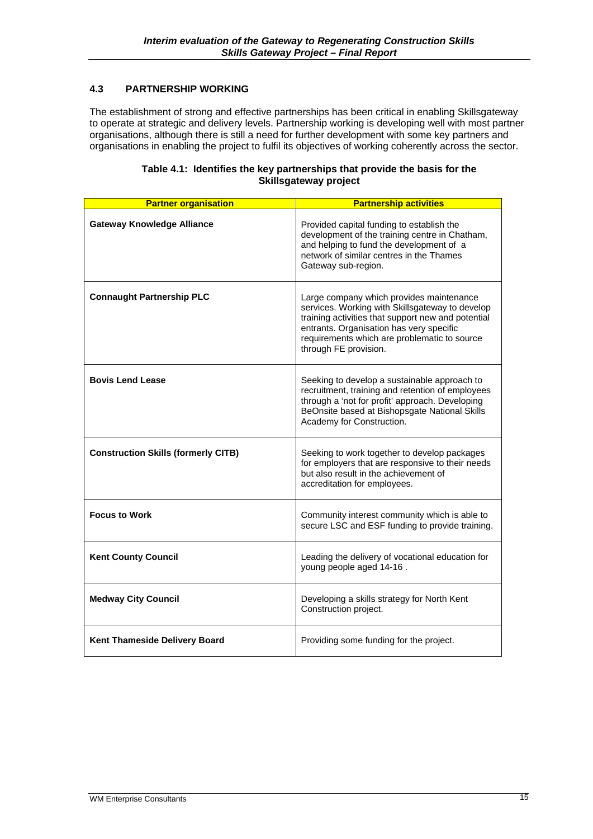#### **4.3 PARTNERSHIP WORKING**

The establishment of strong and effective partnerships has been critical in enabling Skillsgateway to operate at strategic and delivery levels. Partnership working is developing well with most partner organisations, although there is still a need for further development with some key partners and organisations in enabling the project to fulfil its objectives of working coherently across the sector.

| Table 4.1: Identifies the key partnerships that provide the basis for the<br><b>Skillsgateway project</b> |
|-----------------------------------------------------------------------------------------------------------|
|                                                                                                           |

| <b>Partner organisation</b>                | <b>Partnership activities</b>                                                                                                                                                                                                                                          |
|--------------------------------------------|------------------------------------------------------------------------------------------------------------------------------------------------------------------------------------------------------------------------------------------------------------------------|
| <b>Gateway Knowledge Alliance</b>          | Provided capital funding to establish the<br>development of the training centre in Chatham,<br>and helping to fund the development of a<br>network of similar centres in the Thames<br>Gateway sub-region.                                                             |
| <b>Connaught Partnership PLC</b>           | Large company which provides maintenance<br>services. Working with Skillsgateway to develop<br>training activities that support new and potential<br>entrants. Organisation has very specific<br>requirements which are problematic to source<br>through FE provision. |
| <b>Bovis Lend Lease</b>                    | Seeking to develop a sustainable approach to<br>recruitment, training and retention of employees<br>through a 'not for profit' approach. Developing<br>BeOnsite based at Bishopsgate National Skills<br>Academy for Construction.                                      |
| <b>Construction Skills (formerly CITB)</b> | Seeking to work together to develop packages<br>for employers that are responsive to their needs<br>but also result in the achievement of<br>accreditation for employees.                                                                                              |
| <b>Focus to Work</b>                       | Community interest community which is able to<br>secure LSC and ESF funding to provide training.                                                                                                                                                                       |
| <b>Kent County Council</b>                 | Leading the delivery of vocational education for<br>young people aged 14-16.                                                                                                                                                                                           |
| <b>Medway City Council</b>                 | Developing a skills strategy for North Kent<br>Construction project.                                                                                                                                                                                                   |
| Kent Thameside Delivery Board              | Providing some funding for the project.                                                                                                                                                                                                                                |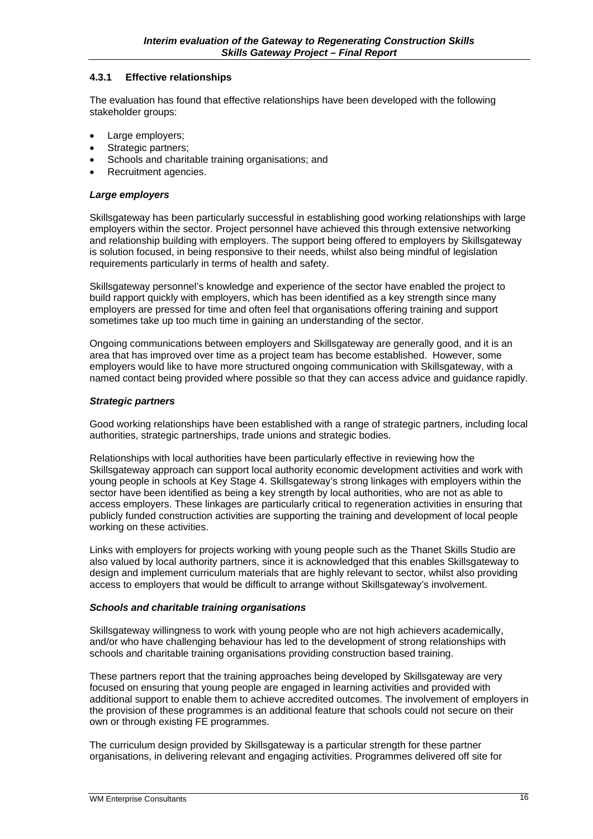#### **4.3.1 Effective relationships**

The evaluation has found that effective relationships have been developed with the following stakeholder groups:

- Large employers;
- Strategic partners;
- Schools and charitable training organisations; and
- Recruitment agencies.

#### *Large employers*

Skillsgateway has been particularly successful in establishing good working relationships with large employers within the sector. Project personnel have achieved this through extensive networking and relationship building with employers. The support being offered to employers by Skillsgateway is solution focused, in being responsive to their needs, whilst also being mindful of legislation requirements particularly in terms of health and safety.

Skillsgateway personnel's knowledge and experience of the sector have enabled the project to build rapport quickly with employers, which has been identified as a key strength since many employers are pressed for time and often feel that organisations offering training and support sometimes take up too much time in gaining an understanding of the sector.

Ongoing communications between employers and Skillsgateway are generally good, and it is an area that has improved over time as a project team has become established. However, some employers would like to have more structured ongoing communication with Skillsgateway, with a named contact being provided where possible so that they can access advice and guidance rapidly.

#### *Strategic partners*

Good working relationships have been established with a range of strategic partners, including local authorities, strategic partnerships, trade unions and strategic bodies.

Relationships with local authorities have been particularly effective in reviewing how the Skillsgateway approach can support local authority economic development activities and work with young people in schools at Key Stage 4. Skillsgateway's strong linkages with employers within the sector have been identified as being a key strength by local authorities, who are not as able to access employers. These linkages are particularly critical to regeneration activities in ensuring that publicly funded construction activities are supporting the training and development of local people working on these activities.

Links with employers for projects working with young people such as the Thanet Skills Studio are also valued by local authority partners, since it is acknowledged that this enables Skillsgateway to design and implement curriculum materials that are highly relevant to sector, whilst also providing access to employers that would be difficult to arrange without Skillsgateway's involvement.

#### *Schools and charitable training organisations*

Skillsgateway willingness to work with young people who are not high achievers academically, and/or who have challenging behaviour has led to the development of strong relationships with schools and charitable training organisations providing construction based training.

These partners report that the training approaches being developed by Skillsgateway are very focused on ensuring that young people are engaged in learning activities and provided with additional support to enable them to achieve accredited outcomes. The involvement of employers in the provision of these programmes is an additional feature that schools could not secure on their own or through existing FE programmes.

The curriculum design provided by Skillsgateway is a particular strength for these partner organisations, in delivering relevant and engaging activities. Programmes delivered off site for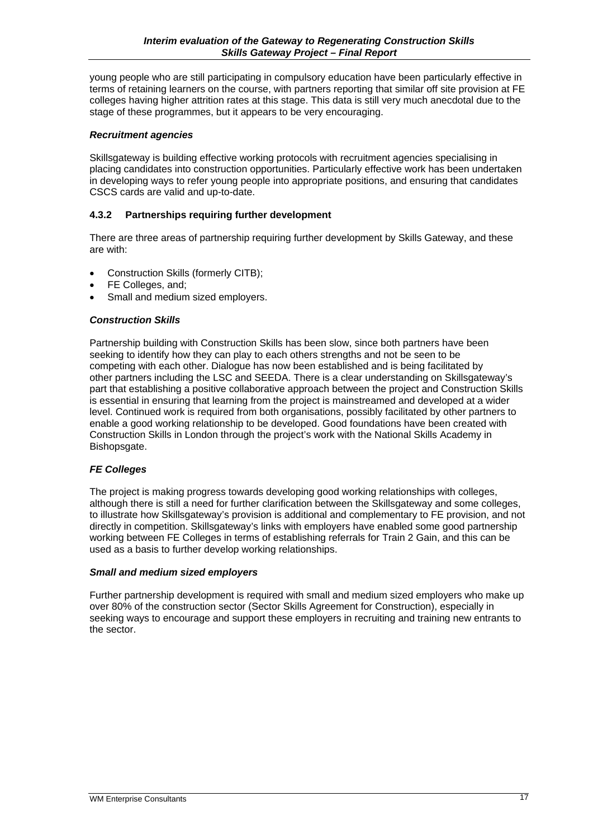young people who are still participating in compulsory education have been particularly effective in terms of retaining learners on the course, with partners reporting that similar off site provision at FE colleges having higher attrition rates at this stage. This data is still very much anecdotal due to the stage of these programmes, but it appears to be very encouraging.

#### *Recruitment agencies*

Skillsgateway is building effective working protocols with recruitment agencies specialising in placing candidates into construction opportunities. Particularly effective work has been undertaken in developing ways to refer young people into appropriate positions, and ensuring that candidates CSCS cards are valid and up-to-date.

#### **4.3.2 Partnerships requiring further development**

There are three areas of partnership requiring further development by Skills Gateway, and these are with:

- Construction Skills (formerly CITB);
- FE Colleges, and:
- Small and medium sized employers.

#### *Construction Skills*

Partnership building with Construction Skills has been slow, since both partners have been seeking to identify how they can play to each others strengths and not be seen to be competing with each other. Dialogue has now been established and is being facilitated by other partners including the LSC and SEEDA. There is a clear understanding on Skillsgateway's part that establishing a positive collaborative approach between the project and Construction Skills is essential in ensuring that learning from the project is mainstreamed and developed at a wider level. Continued work is required from both organisations, possibly facilitated by other partners to enable a good working relationship to be developed. Good foundations have been created with Construction Skills in London through the project's work with the National Skills Academy in Bishopsgate.

#### *FE Colleges*

The project is making progress towards developing good working relationships with colleges, although there is still a need for further clarification between the Skillsgateway and some colleges, to illustrate how Skillsgateway's provision is additional and complementary to FE provision, and not directly in competition. Skillsgateway's links with employers have enabled some good partnership working between FE Colleges in terms of establishing referrals for Train 2 Gain, and this can be used as a basis to further develop working relationships.

#### *Small and medium sized employers*

Further partnership development is required with small and medium sized employers who make up over 80% of the construction sector (Sector Skills Agreement for Construction), especially in seeking ways to encourage and support these employers in recruiting and training new entrants to the sector.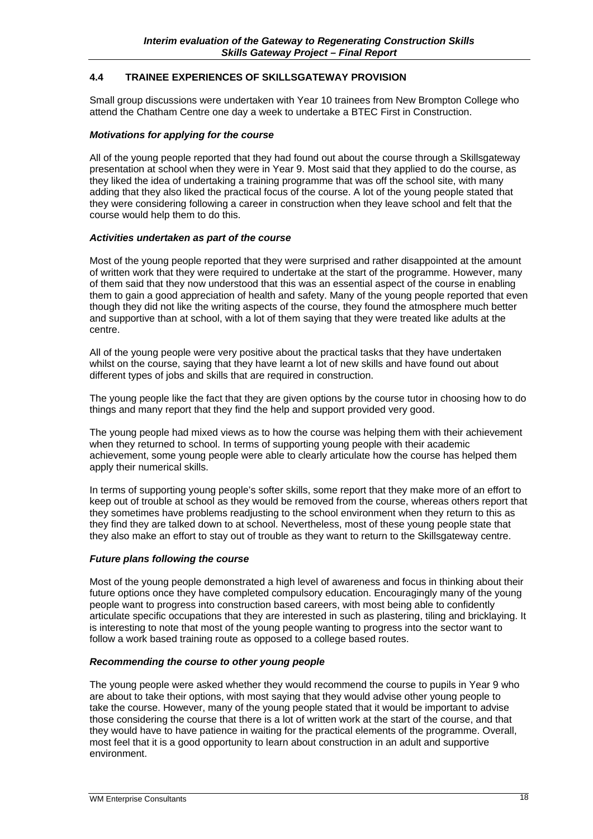#### **4.4 TRAINEE EXPERIENCES OF SKILLSGATEWAY PROVISION**

Small group discussions were undertaken with Year 10 trainees from New Brompton College who attend the Chatham Centre one day a week to undertake a BTEC First in Construction.

#### *Motivations for applying for the course*

All of the young people reported that they had found out about the course through a Skillsgateway presentation at school when they were in Year 9. Most said that they applied to do the course, as they liked the idea of undertaking a training programme that was off the school site, with many adding that they also liked the practical focus of the course. A lot of the young people stated that they were considering following a career in construction when they leave school and felt that the course would help them to do this.

#### *Activities undertaken as part of the course*

Most of the young people reported that they were surprised and rather disappointed at the amount of written work that they were required to undertake at the start of the programme. However, many of them said that they now understood that this was an essential aspect of the course in enabling them to gain a good appreciation of health and safety. Many of the young people reported that even though they did not like the writing aspects of the course, they found the atmosphere much better and supportive than at school, with a lot of them saying that they were treated like adults at the centre.

All of the young people were very positive about the practical tasks that they have undertaken whilst on the course, saying that they have learnt a lot of new skills and have found out about different types of jobs and skills that are required in construction.

The young people like the fact that they are given options by the course tutor in choosing how to do things and many report that they find the help and support provided very good.

The young people had mixed views as to how the course was helping them with their achievement when they returned to school. In terms of supporting young people with their academic achievement, some young people were able to clearly articulate how the course has helped them apply their numerical skills.

In terms of supporting young people's softer skills, some report that they make more of an effort to keep out of trouble at school as they would be removed from the course, whereas others report that they sometimes have problems readjusting to the school environment when they return to this as they find they are talked down to at school. Nevertheless, most of these young people state that they also make an effort to stay out of trouble as they want to return to the Skillsgateway centre.

#### *Future plans following the course*

Most of the young people demonstrated a high level of awareness and focus in thinking about their future options once they have completed compulsory education. Encouragingly many of the young people want to progress into construction based careers, with most being able to confidently articulate specific occupations that they are interested in such as plastering, tiling and bricklaying. It is interesting to note that most of the young people wanting to progress into the sector want to follow a work based training route as opposed to a college based routes.

#### *Recommending the course to other young people*

The young people were asked whether they would recommend the course to pupils in Year 9 who are about to take their options, with most saying that they would advise other young people to take the course. However, many of the young people stated that it would be important to advise those considering the course that there is a lot of written work at the start of the course, and that they would have to have patience in waiting for the practical elements of the programme. Overall, most feel that it is a good opportunity to learn about construction in an adult and supportive environment.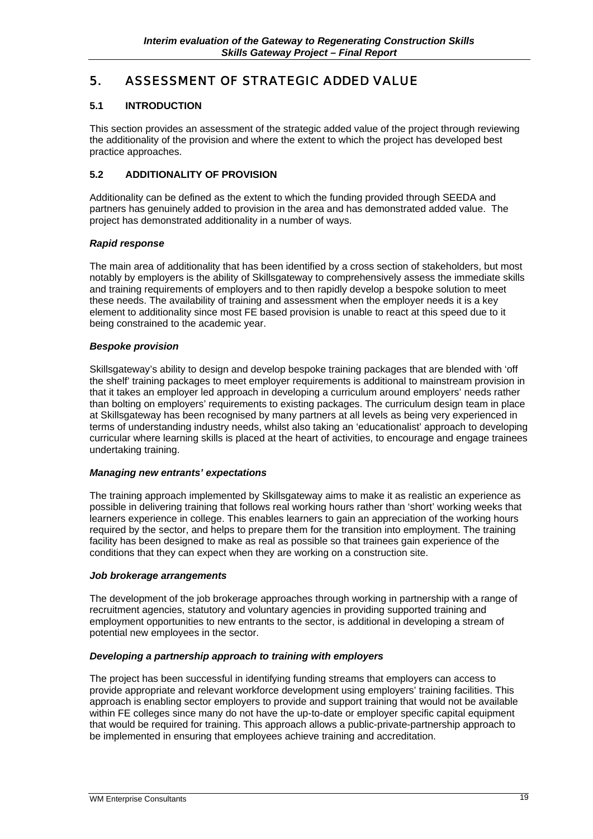## 5. ASSESSMENT OF STRATEGIC ADDED VALUE

#### **5.1 INTRODUCTION**

This section provides an assessment of the strategic added value of the project through reviewing the additionality of the provision and where the extent to which the project has developed best practice approaches.

#### **5.2 ADDITIONALITY OF PROVISION**

Additionality can be defined as the extent to which the funding provided through SEEDA and partners has genuinely added to provision in the area and has demonstrated added value. The project has demonstrated additionality in a number of ways.

#### *Rapid response*

The main area of additionality that has been identified by a cross section of stakeholders, but most notably by employers is the ability of Skillsgateway to comprehensively assess the immediate skills and training requirements of employers and to then rapidly develop a bespoke solution to meet these needs. The availability of training and assessment when the employer needs it is a key element to additionality since most FE based provision is unable to react at this speed due to it being constrained to the academic year.

#### *Bespoke provision*

Skillsgateway's ability to design and develop bespoke training packages that are blended with 'off the shelf' training packages to meet employer requirements is additional to mainstream provision in that it takes an employer led approach in developing a curriculum around employers' needs rather than bolting on employers' requirements to existing packages. The curriculum design team in place at Skillsgateway has been recognised by many partners at all levels as being very experienced in terms of understanding industry needs, whilst also taking an 'educationalist' approach to developing curricular where learning skills is placed at the heart of activities, to encourage and engage trainees undertaking training.

#### *Managing new entrants' expectations*

The training approach implemented by Skillsgateway aims to make it as realistic an experience as possible in delivering training that follows real working hours rather than 'short' working weeks that learners experience in college. This enables learners to gain an appreciation of the working hours required by the sector, and helps to prepare them for the transition into employment. The training facility has been designed to make as real as possible so that trainees gain experience of the conditions that they can expect when they are working on a construction site.

#### *Job brokerage arrangements*

The development of the job brokerage approaches through working in partnership with a range of recruitment agencies, statutory and voluntary agencies in providing supported training and employment opportunities to new entrants to the sector, is additional in developing a stream of potential new employees in the sector.

#### *Developing a partnership approach to training with employers*

The project has been successful in identifying funding streams that employers can access to provide appropriate and relevant workforce development using employers' training facilities. This approach is enabling sector employers to provide and support training that would not be available within FE colleges since many do not have the up-to-date or employer specific capital equipment that would be required for training. This approach allows a public-private-partnership approach to be implemented in ensuring that employees achieve training and accreditation.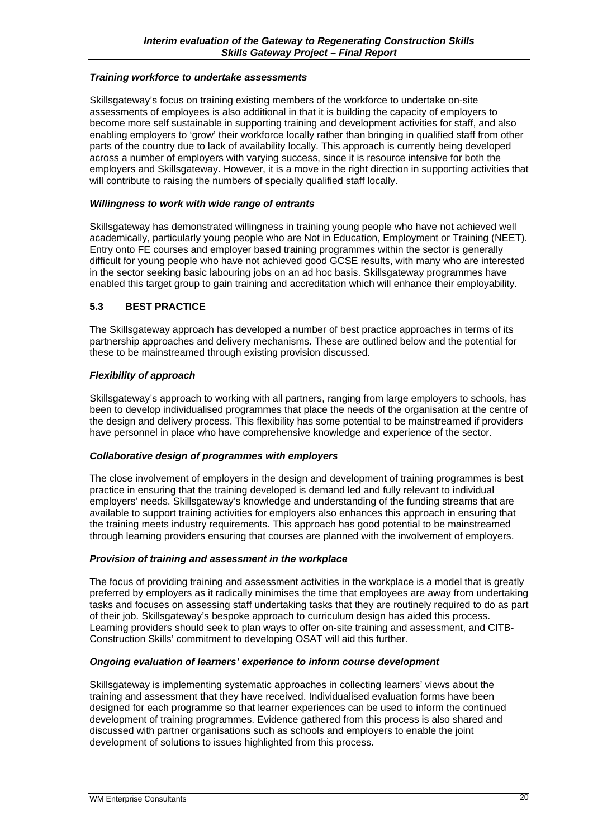#### *Training workforce to undertake assessments*

Skillsgateway's focus on training existing members of the workforce to undertake on-site assessments of employees is also additional in that it is building the capacity of employers to become more self sustainable in supporting training and development activities for staff, and also enabling employers to 'grow' their workforce locally rather than bringing in qualified staff from other parts of the country due to lack of availability locally. This approach is currently being developed across a number of employers with varying success, since it is resource intensive for both the employers and Skillsgateway. However, it is a move in the right direction in supporting activities that will contribute to raising the numbers of specially qualified staff locally.

#### *Willingness to work with wide range of entrants*

Skillsgateway has demonstrated willingness in training young people who have not achieved well academically, particularly young people who are Not in Education, Employment or Training (NEET). Entry onto FE courses and employer based training programmes within the sector is generally difficult for young people who have not achieved good GCSE results, with many who are interested in the sector seeking basic labouring jobs on an ad hoc basis. Skillsgateway programmes have enabled this target group to gain training and accreditation which will enhance their employability.

#### **5.3 BEST PRACTICE**

The Skillsgateway approach has developed a number of best practice approaches in terms of its partnership approaches and delivery mechanisms. These are outlined below and the potential for these to be mainstreamed through existing provision discussed.

#### *Flexibility of approach*

Skillsgateway's approach to working with all partners, ranging from large employers to schools, has been to develop individualised programmes that place the needs of the organisation at the centre of the design and delivery process. This flexibility has some potential to be mainstreamed if providers have personnel in place who have comprehensive knowledge and experience of the sector.

#### *Collaborative design of programmes with employers*

The close involvement of employers in the design and development of training programmes is best practice in ensuring that the training developed is demand led and fully relevant to individual employers' needs. Skillsgateway's knowledge and understanding of the funding streams that are available to support training activities for employers also enhances this approach in ensuring that the training meets industry requirements. This approach has good potential to be mainstreamed through learning providers ensuring that courses are planned with the involvement of employers.

#### *Provision of training and assessment in the workplace*

The focus of providing training and assessment activities in the workplace is a model that is greatly preferred by employers as it radically minimises the time that employees are away from undertaking tasks and focuses on assessing staff undertaking tasks that they are routinely required to do as part of their job. Skillsgateway's bespoke approach to curriculum design has aided this process. Learning providers should seek to plan ways to offer on-site training and assessment, and CITB-Construction Skills' commitment to developing OSAT will aid this further.

#### *Ongoing evaluation of learners' experience to inform course development*

Skillsgateway is implementing systematic approaches in collecting learners' views about the training and assessment that they have received. Individualised evaluation forms have been designed for each programme so that learner experiences can be used to inform the continued development of training programmes. Evidence gathered from this process is also shared and discussed with partner organisations such as schools and employers to enable the joint development of solutions to issues highlighted from this process.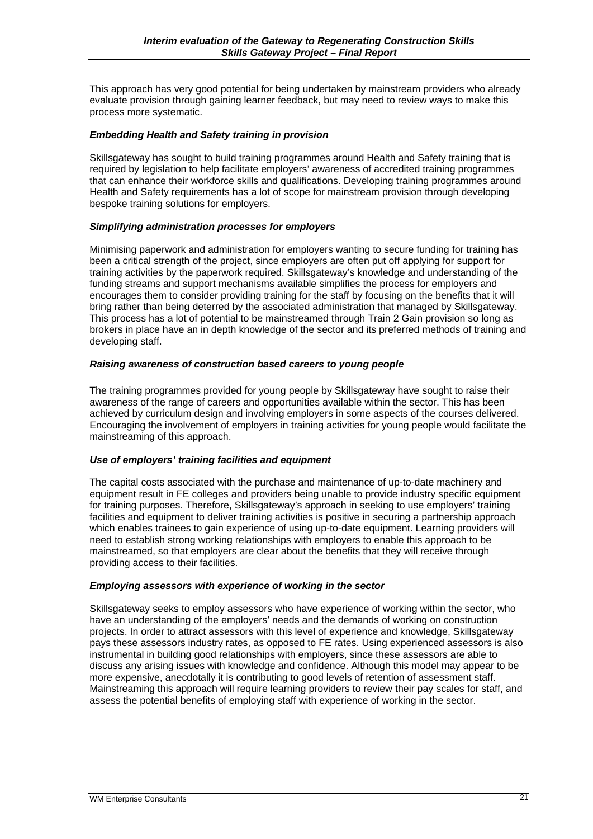This approach has very good potential for being undertaken by mainstream providers who already evaluate provision through gaining learner feedback, but may need to review ways to make this process more systematic.

#### *Embedding Health and Safety training in provision*

Skillsgateway has sought to build training programmes around Health and Safety training that is required by legislation to help facilitate employers' awareness of accredited training programmes that can enhance their workforce skills and qualifications. Developing training programmes around Health and Safety requirements has a lot of scope for mainstream provision through developing bespoke training solutions for employers.

#### *Simplifying administration processes for employers*

Minimising paperwork and administration for employers wanting to secure funding for training has been a critical strength of the project, since employers are often put off applying for support for training activities by the paperwork required. Skillsgateway's knowledge and understanding of the funding streams and support mechanisms available simplifies the process for employers and encourages them to consider providing training for the staff by focusing on the benefits that it will bring rather than being deterred by the associated administration that managed by Skillsgateway. This process has a lot of potential to be mainstreamed through Train 2 Gain provision so long as brokers in place have an in depth knowledge of the sector and its preferred methods of training and developing staff.

#### *Raising awareness of construction based careers to young people*

The training programmes provided for young people by Skillsgateway have sought to raise their awareness of the range of careers and opportunities available within the sector. This has been achieved by curriculum design and involving employers in some aspects of the courses delivered. Encouraging the involvement of employers in training activities for young people would facilitate the mainstreaming of this approach.

#### *Use of employers' training facilities and equipment*

The capital costs associated with the purchase and maintenance of up-to-date machinery and equipment result in FE colleges and providers being unable to provide industry specific equipment for training purposes. Therefore, Skillsgateway's approach in seeking to use employers' training facilities and equipment to deliver training activities is positive in securing a partnership approach which enables trainees to gain experience of using up-to-date equipment. Learning providers will need to establish strong working relationships with employers to enable this approach to be mainstreamed, so that employers are clear about the benefits that they will receive through providing access to their facilities.

#### *Employing assessors with experience of working in the sector*

Skillsgateway seeks to employ assessors who have experience of working within the sector, who have an understanding of the employers' needs and the demands of working on construction projects. In order to attract assessors with this level of experience and knowledge, Skillsgateway pays these assessors industry rates, as opposed to FE rates. Using experienced assessors is also instrumental in building good relationships with employers, since these assessors are able to discuss any arising issues with knowledge and confidence. Although this model may appear to be more expensive, anecdotally it is contributing to good levels of retention of assessment staff. Mainstreaming this approach will require learning providers to review their pay scales for staff, and assess the potential benefits of employing staff with experience of working in the sector.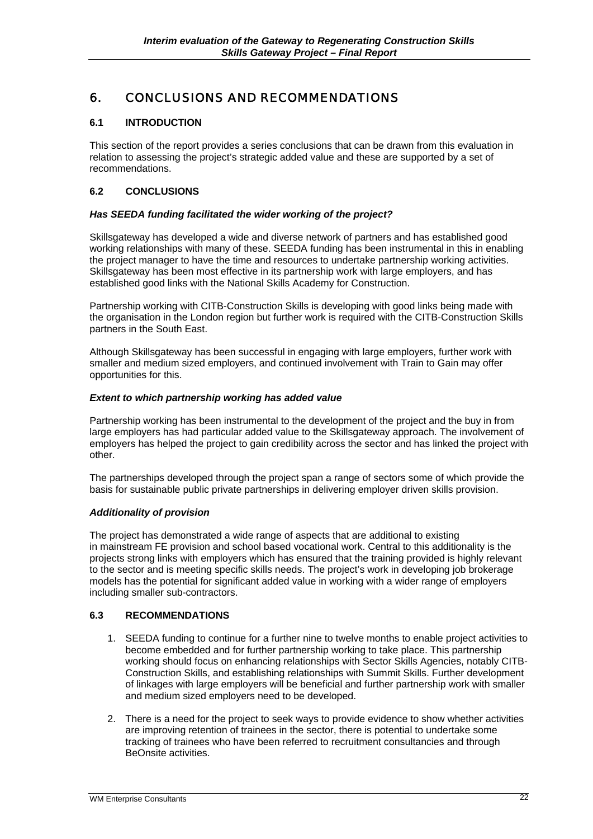## 6. CONCLUSIONS AND RECOMMENDATIONS

#### **6.1 INTRODUCTION**

This section of the report provides a series conclusions that can be drawn from this evaluation in relation to assessing the project's strategic added value and these are supported by a set of recommendations.

#### **6.2 CONCLUSIONS**

#### *Has SEEDA funding facilitated the wider working of the project?*

Skillsgateway has developed a wide and diverse network of partners and has established good working relationships with many of these. SEEDA funding has been instrumental in this in enabling the project manager to have the time and resources to undertake partnership working activities. Skillsgateway has been most effective in its partnership work with large employers, and has established good links with the National Skills Academy for Construction.

Partnership working with CITB-Construction Skills is developing with good links being made with the organisation in the London region but further work is required with the CITB-Construction Skills partners in the South East.

Although Skillsgateway has been successful in engaging with large employers, further work with smaller and medium sized employers, and continued involvement with Train to Gain may offer opportunities for this.

#### *Extent to which partnership working has added value*

Partnership working has been instrumental to the development of the project and the buy in from large employers has had particular added value to the Skillsgateway approach. The involvement of employers has helped the project to gain credibility across the sector and has linked the project with other.

The partnerships developed through the project span a range of sectors some of which provide the basis for sustainable public private partnerships in delivering employer driven skills provision.

#### *Additionality of provision*

The project has demonstrated a wide range of aspects that are additional to existing in mainstream FE provision and school based vocational work. Central to this additionality is the projects strong links with employers which has ensured that the training provided is highly relevant to the sector and is meeting specific skills needs. The project's work in developing job brokerage models has the potential for significant added value in working with a wider range of employers including smaller sub-contractors.

#### **6.3 RECOMMENDATIONS**

- 1. SEEDA funding to continue for a further nine to twelve months to enable project activities to become embedded and for further partnership working to take place. This partnership working should focus on enhancing relationships with Sector Skills Agencies, notably CITB-Construction Skills, and establishing relationships with Summit Skills. Further development of linkages with large employers will be beneficial and further partnership work with smaller and medium sized employers need to be developed.
- 2. There is a need for the project to seek ways to provide evidence to show whether activities are improving retention of trainees in the sector, there is potential to undertake some tracking of trainees who have been referred to recruitment consultancies and through BeOnsite activities.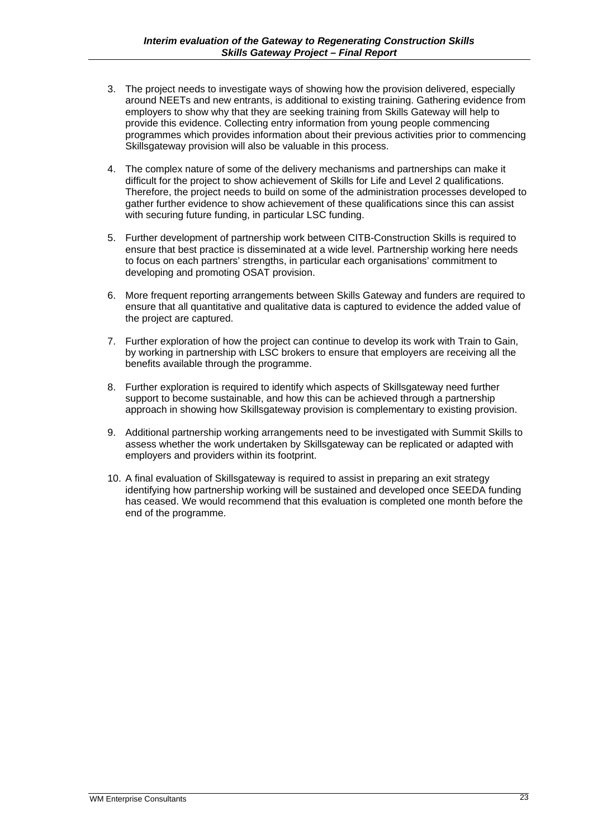- 3. The project needs to investigate ways of showing how the provision delivered, especially around NEETs and new entrants, is additional to existing training. Gathering evidence from employers to show why that they are seeking training from Skills Gateway will help to provide this evidence. Collecting entry information from young people commencing programmes which provides information about their previous activities prior to commencing Skillsgateway provision will also be valuable in this process.
- 4. The complex nature of some of the delivery mechanisms and partnerships can make it difficult for the project to show achievement of Skills for Life and Level 2 qualifications. Therefore, the project needs to build on some of the administration processes developed to gather further evidence to show achievement of these qualifications since this can assist with securing future funding, in particular LSC funding.
- 5. Further development of partnership work between CITB-Construction Skills is required to ensure that best practice is disseminated at a wide level. Partnership working here needs to focus on each partners' strengths, in particular each organisations' commitment to developing and promoting OSAT provision.
- 6. More frequent reporting arrangements between Skills Gateway and funders are required to ensure that all quantitative and qualitative data is captured to evidence the added value of the project are captured.
- 7. Further exploration of how the project can continue to develop its work with Train to Gain, by working in partnership with LSC brokers to ensure that employers are receiving all the benefits available through the programme.
- 8. Further exploration is required to identify which aspects of Skillsgateway need further support to become sustainable, and how this can be achieved through a partnership approach in showing how Skillsgateway provision is complementary to existing provision.
- 9. Additional partnership working arrangements need to be investigated with Summit Skills to assess whether the work undertaken by Skillsgateway can be replicated or adapted with employers and providers within its footprint.
- 10. A final evaluation of Skillsgateway is required to assist in preparing an exit strategy identifying how partnership working will be sustained and developed once SEEDA funding has ceased. We would recommend that this evaluation is completed one month before the end of the programme.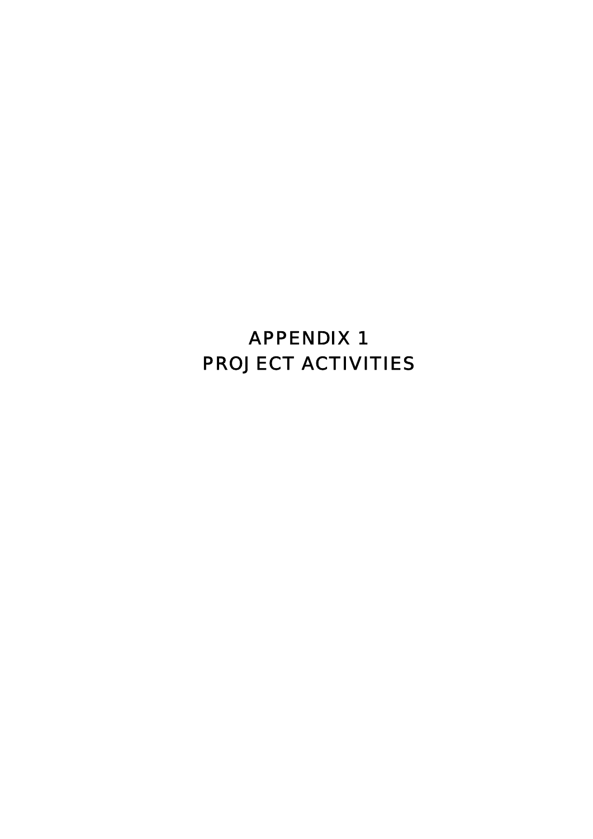# APPENDIX 1 PROJECT ACTIVITIES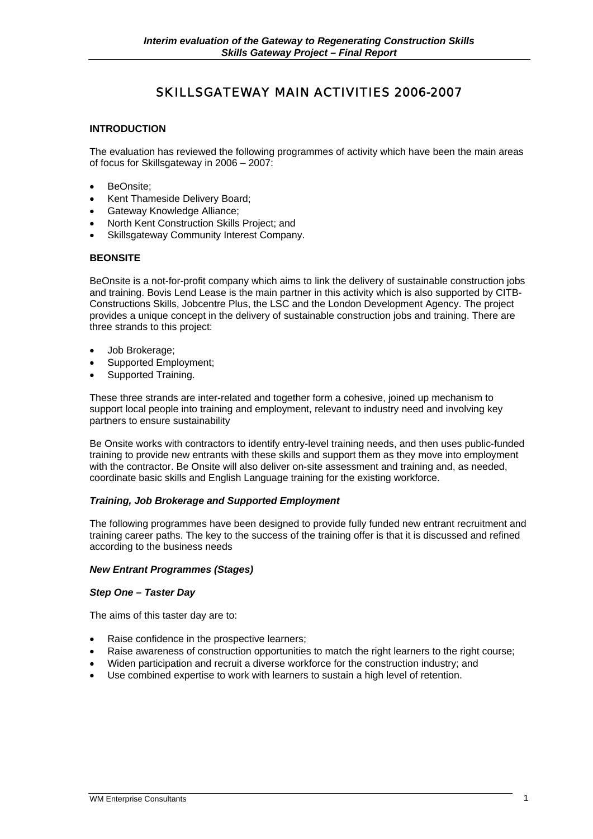## SKILLSGATEWAY MAIN ACTIVITIES 2006-2007

#### **INTRODUCTION**

The evaluation has reviewed the following programmes of activity which have been the main areas of focus for Skillsgateway in 2006 – 2007:

- BeOnsite;
- Kent Thameside Delivery Board;
- Gateway Knowledge Alliance;
- North Kent Construction Skills Project; and
- Skillsgateway Community Interest Company.

#### **BEONSITE**

BeOnsite is a not-for-profit company which aims to link the delivery of sustainable construction jobs and training. Bovis Lend Lease is the main partner in this activity which is also supported by CITB-Constructions Skills, Jobcentre Plus, the LSC and the London Development Agency. The project provides a unique concept in the delivery of sustainable construction jobs and training. There are three strands to this project:

- Job Brokerage;
- Supported Employment;
- Supported Training.

These three strands are inter-related and together form a cohesive, joined up mechanism to support local people into training and employment, relevant to industry need and involving key partners to ensure sustainability

Be Onsite works with contractors to identify entry-level training needs, and then uses public-funded training to provide new entrants with these skills and support them as they move into employment with the contractor. Be Onsite will also deliver on-site assessment and training and, as needed, coordinate basic skills and English Language training for the existing workforce.

#### *Training, Job Brokerage and Supported Employment*

The following programmes have been designed to provide fully funded new entrant recruitment and training career paths. The key to the success of the training offer is that it is discussed and refined according to the business needs

#### *New Entrant Programmes (Stages)*

#### *Step One – Taster Day*

The aims of this taster day are to:

- Raise confidence in the prospective learners;
- Raise awareness of construction opportunities to match the right learners to the right course;
- Widen participation and recruit a diverse workforce for the construction industry; and
- Use combined expertise to work with learners to sustain a high level of retention.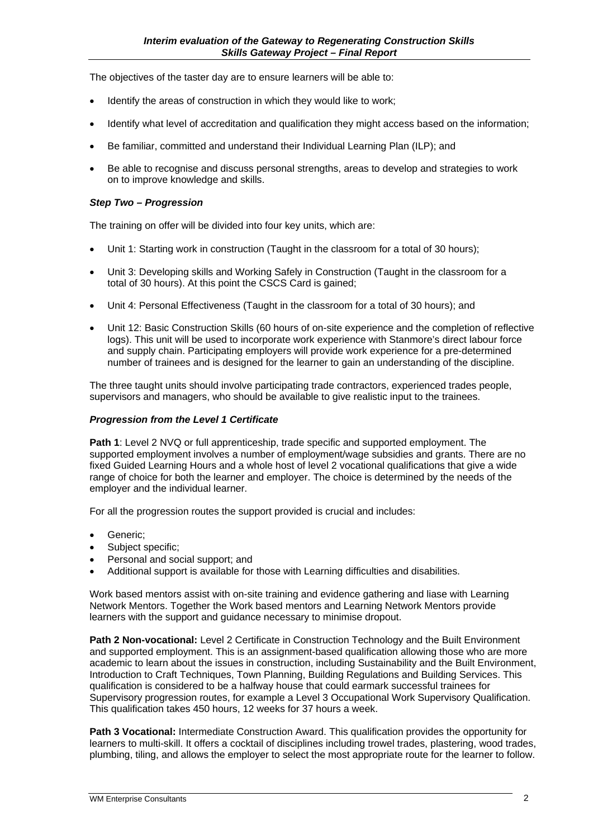The objectives of the taster day are to ensure learners will be able to:

- Identify the areas of construction in which they would like to work;
- Identify what level of accreditation and qualification they might access based on the information;
- Be familiar, committed and understand their Individual Learning Plan (ILP); and
- Be able to recognise and discuss personal strengths, areas to develop and strategies to work on to improve knowledge and skills.

#### *Step Two – Progression*

The training on offer will be divided into four key units, which are:

- Unit 1: Starting work in construction (Taught in the classroom for a total of 30 hours):
- Unit 3: Developing skills and Working Safely in Construction (Taught in the classroom for a total of 30 hours). At this point the CSCS Card is gained;
- Unit 4: Personal Effectiveness (Taught in the classroom for a total of 30 hours); and
- Unit 12: Basic Construction Skills (60 hours of on-site experience and the completion of reflective logs). This unit will be used to incorporate work experience with Stanmore's direct labour force and supply chain. Participating employers will provide work experience for a pre-determined number of trainees and is designed for the learner to gain an understanding of the discipline.

The three taught units should involve participating trade contractors, experienced trades people, supervisors and managers, who should be available to give realistic input to the trainees.

#### *Progression from the Level 1 Certificate*

**Path 1**: Level 2 NVQ or full apprenticeship, trade specific and supported employment. The supported employment involves a number of employment/wage subsidies and grants. There are no fixed Guided Learning Hours and a whole host of level 2 vocational qualifications that give a wide range of choice for both the learner and employer. The choice is determined by the needs of the employer and the individual learner.

For all the progression routes the support provided is crucial and includes:

- Generic;
- Subject specific;
- Personal and social support; and
- Additional support is available for those with Learning difficulties and disabilities.

Work based mentors assist with on-site training and evidence gathering and liase with Learning Network Mentors. Together the Work based mentors and Learning Network Mentors provide learners with the support and guidance necessary to minimise dropout.

**Path 2 Non-vocational:** Level 2 Certificate in Construction Technology and the Built Environment and supported employment. This is an assignment-based qualification allowing those who are more academic to learn about the issues in construction, including Sustainability and the Built Environment, Introduction to Craft Techniques, Town Planning, Building Regulations and Building Services. This qualification is considered to be a halfway house that could earmark successful trainees for Supervisory progression routes, for example a Level 3 Occupational Work Supervisory Qualification. This qualification takes 450 hours, 12 weeks for 37 hours a week.

**Path 3 Vocational:** Intermediate Construction Award. This qualification provides the opportunity for learners to multi-skill. It offers a cocktail of disciplines including trowel trades, plastering, wood trades, plumbing, tiling, and allows the employer to select the most appropriate route for the learner to follow.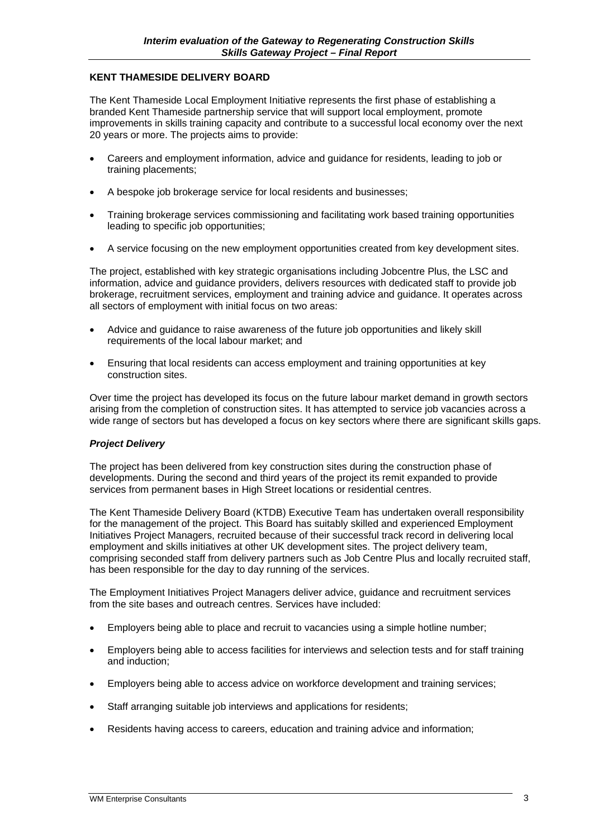#### **KENT THAMESIDE DELIVERY BOARD**

The Kent Thameside Local Employment Initiative represents the first phase of establishing a branded Kent Thameside partnership service that will support local employment, promote improvements in skills training capacity and contribute to a successful local economy over the next 20 years or more. The projects aims to provide:

- Careers and employment information, advice and guidance for residents, leading to job or training placements;
- A bespoke job brokerage service for local residents and businesses;
- Training brokerage services commissioning and facilitating work based training opportunities leading to specific job opportunities;
- A service focusing on the new employment opportunities created from key development sites.

The project, established with key strategic organisations including Jobcentre Plus, the LSC and information, advice and guidance providers, delivers resources with dedicated staff to provide job brokerage, recruitment services, employment and training advice and guidance. It operates across all sectors of employment with initial focus on two areas:

- Advice and guidance to raise awareness of the future job opportunities and likely skill requirements of the local labour market; and
- Ensuring that local residents can access employment and training opportunities at key construction sites.

Over time the project has developed its focus on the future labour market demand in growth sectors arising from the completion of construction sites. It has attempted to service job vacancies across a wide range of sectors but has developed a focus on key sectors where there are significant skills gaps.

#### *Project Delivery*

The project has been delivered from key construction sites during the construction phase of developments. During the second and third years of the project its remit expanded to provide services from permanent bases in High Street locations or residential centres.

The Kent Thameside Delivery Board (KTDB) Executive Team has undertaken overall responsibility for the management of the project. This Board has suitably skilled and experienced Employment Initiatives Project Managers, recruited because of their successful track record in delivering local employment and skills initiatives at other UK development sites. The project delivery team, comprising seconded staff from delivery partners such as Job Centre Plus and locally recruited staff, has been responsible for the day to day running of the services.

The Employment Initiatives Project Managers deliver advice, guidance and recruitment services from the site bases and outreach centres. Services have included:

- Employers being able to place and recruit to vacancies using a simple hotline number;
- Employers being able to access facilities for interviews and selection tests and for staff training and induction;
- Employers being able to access advice on workforce development and training services;
- Staff arranging suitable job interviews and applications for residents;
- Residents having access to careers, education and training advice and information;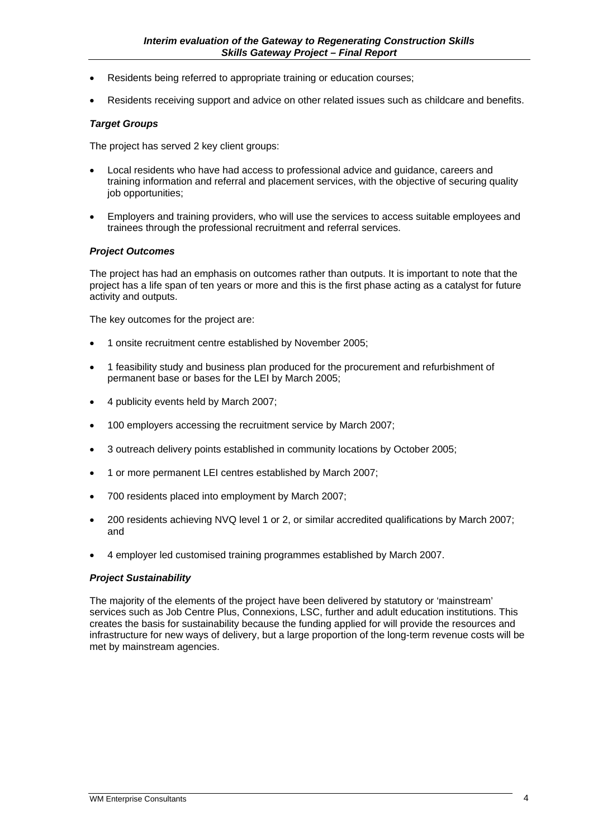- Residents being referred to appropriate training or education courses;
- Residents receiving support and advice on other related issues such as childcare and benefits.

#### *Target Groups*

The project has served 2 key client groups:

- Local residents who have had access to professional advice and guidance, careers and training information and referral and placement services, with the objective of securing quality job opportunities;
- Employers and training providers, who will use the services to access suitable employees and trainees through the professional recruitment and referral services.

#### *Project Outcomes*

The project has had an emphasis on outcomes rather than outputs. It is important to note that the project has a life span of ten years or more and this is the first phase acting as a catalyst for future activity and outputs.

The key outcomes for the project are:

- 1 onsite recruitment centre established by November 2005;
- 1 feasibility study and business plan produced for the procurement and refurbishment of permanent base or bases for the LEI by March 2005;
- 4 publicity events held by March 2007;
- 100 employers accessing the recruitment service by March 2007;
- 3 outreach delivery points established in community locations by October 2005;
- 1 or more permanent LEI centres established by March 2007;
- 700 residents placed into employment by March 2007;
- 200 residents achieving NVQ level 1 or 2, or similar accredited qualifications by March 2007; and
- 4 employer led customised training programmes established by March 2007.

#### *Project Sustainability*

The majority of the elements of the project have been delivered by statutory or 'mainstream' services such as Job Centre Plus, Connexions, LSC, further and adult education institutions. This creates the basis for sustainability because the funding applied for will provide the resources and infrastructure for new ways of delivery, but a large proportion of the long-term revenue costs will be met by mainstream agencies.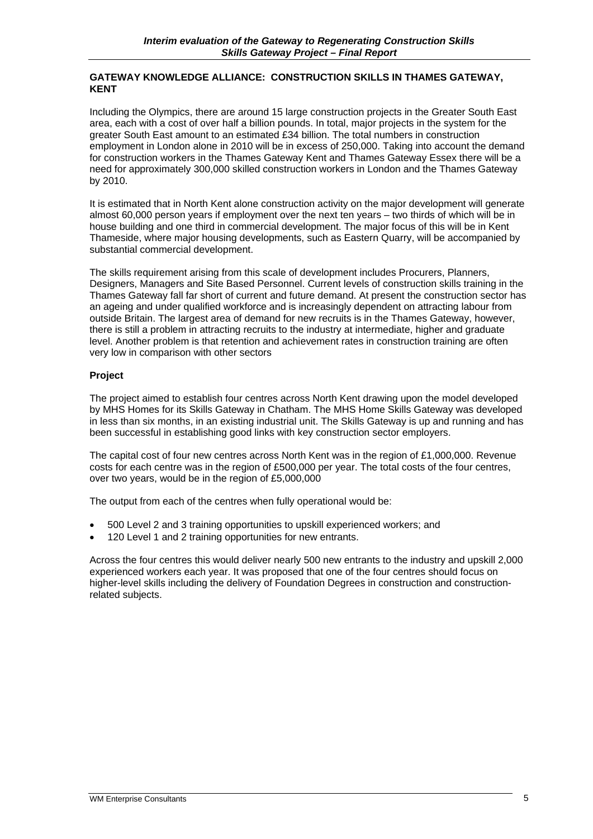#### **GATEWAY KNOWLEDGE ALLIANCE: CONSTRUCTION SKILLS IN THAMES GATEWAY, KENT**

Including the Olympics, there are around 15 large construction projects in the Greater South East area, each with a cost of over half a billion pounds. In total, major projects in the system for the greater South East amount to an estimated £34 billion. The total numbers in construction employment in London alone in 2010 will be in excess of 250,000. Taking into account the demand for construction workers in the Thames Gateway Kent and Thames Gateway Essex there will be a need for approximately 300,000 skilled construction workers in London and the Thames Gateway by 2010.

It is estimated that in North Kent alone construction activity on the major development will generate almost 60,000 person years if employment over the next ten years – two thirds of which will be in house building and one third in commercial development. The major focus of this will be in Kent Thameside, where major housing developments, such as Eastern Quarry, will be accompanied by substantial commercial development.

The skills requirement arising from this scale of development includes Procurers, Planners, Designers, Managers and Site Based Personnel. Current levels of construction skills training in the Thames Gateway fall far short of current and future demand. At present the construction sector has an ageing and under qualified workforce and is increasingly dependent on attracting labour from outside Britain. The largest area of demand for new recruits is in the Thames Gateway, however, there is still a problem in attracting recruits to the industry at intermediate, higher and graduate level. Another problem is that retention and achievement rates in construction training are often very low in comparison with other sectors

#### **Project**

The project aimed to establish four centres across North Kent drawing upon the model developed by MHS Homes for its Skills Gateway in Chatham. The MHS Home Skills Gateway was developed in less than six months, in an existing industrial unit. The Skills Gateway is up and running and has been successful in establishing good links with key construction sector employers.

The capital cost of four new centres across North Kent was in the region of £1,000,000. Revenue costs for each centre was in the region of £500,000 per year. The total costs of the four centres, over two years, would be in the region of £5,000,000

The output from each of the centres when fully operational would be:

- 500 Level 2 and 3 training opportunities to upskill experienced workers; and
- 120 Level 1 and 2 training opportunities for new entrants.

Across the four centres this would deliver nearly 500 new entrants to the industry and upskill 2,000 experienced workers each year. It was proposed that one of the four centres should focus on higher-level skills including the delivery of Foundation Degrees in construction and constructionrelated subjects.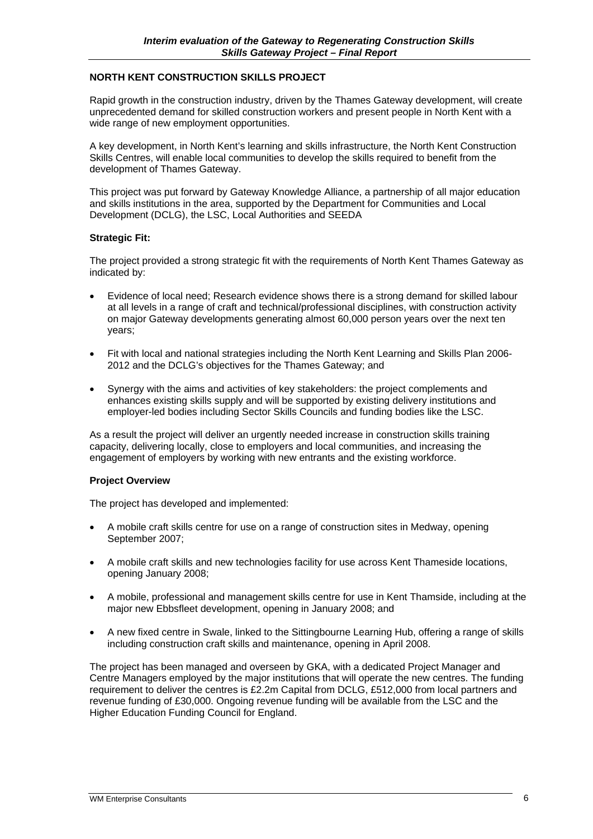#### **NORTH KENT CONSTRUCTION SKILLS PROJECT**

Rapid growth in the construction industry, driven by the Thames Gateway development, will create unprecedented demand for skilled construction workers and present people in North Kent with a wide range of new employment opportunities.

A key development, in North Kent's learning and skills infrastructure, the North Kent Construction Skills Centres, will enable local communities to develop the skills required to benefit from the development of Thames Gateway.

This project was put forward by Gateway Knowledge Alliance, a partnership of all major education and skills institutions in the area, supported by the Department for Communities and Local Development (DCLG), the LSC, Local Authorities and SEEDA

#### **Strategic Fit:**

The project provided a strong strategic fit with the requirements of North Kent Thames Gateway as indicated by:

- Evidence of local need; Research evidence shows there is a strong demand for skilled labour at all levels in a range of craft and technical/professional disciplines, with construction activity on major Gateway developments generating almost 60,000 person years over the next ten years;
- Fit with local and national strategies including the North Kent Learning and Skills Plan 2006- 2012 and the DCLG's objectives for the Thames Gateway; and
- Synergy with the aims and activities of key stakeholders: the project complements and enhances existing skills supply and will be supported by existing delivery institutions and employer-led bodies including Sector Skills Councils and funding bodies like the LSC.

As a result the project will deliver an urgently needed increase in construction skills training capacity, delivering locally, close to employers and local communities, and increasing the engagement of employers by working with new entrants and the existing workforce.

#### **Project Overview**

The project has developed and implemented:

- A mobile craft skills centre for use on a range of construction sites in Medway, opening September 2007;
- A mobile craft skills and new technologies facility for use across Kent Thameside locations, opening January 2008;
- A mobile, professional and management skills centre for use in Kent Thamside, including at the major new Ebbsfleet development, opening in January 2008; and
- A new fixed centre in Swale, linked to the Sittingbourne Learning Hub, offering a range of skills including construction craft skills and maintenance, opening in April 2008.

The project has been managed and overseen by GKA, with a dedicated Project Manager and Centre Managers employed by the major institutions that will operate the new centres. The funding requirement to deliver the centres is £2.2m Capital from DCLG, £512,000 from local partners and revenue funding of £30,000. Ongoing revenue funding will be available from the LSC and the Higher Education Funding Council for England.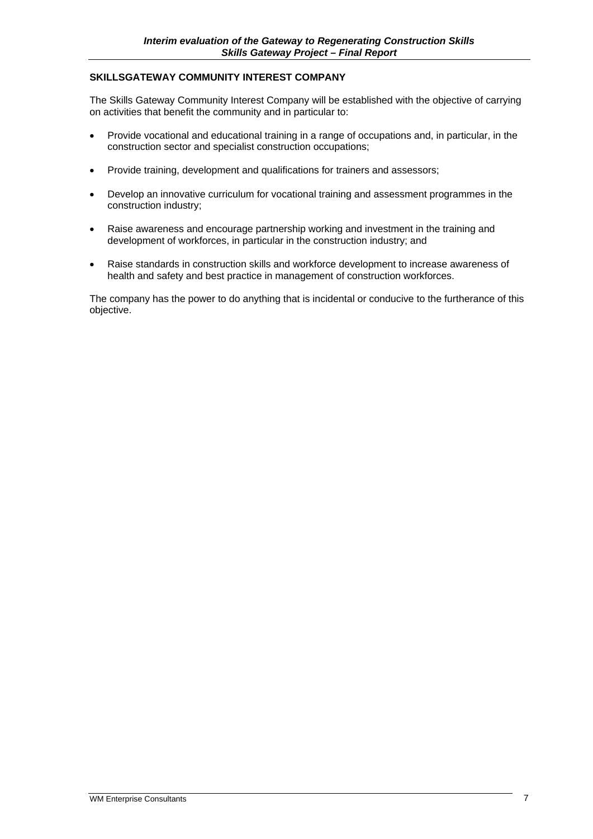#### **SKILLSGATEWAY COMMUNITY INTEREST COMPANY**

The Skills Gateway Community Interest Company will be established with the objective of carrying on activities that benefit the community and in particular to:

- Provide vocational and educational training in a range of occupations and, in particular, in the construction sector and specialist construction occupations;
- Provide training, development and qualifications for trainers and assessors;
- Develop an innovative curriculum for vocational training and assessment programmes in the construction industry;
- Raise awareness and encourage partnership working and investment in the training and development of workforces, in particular in the construction industry; and
- Raise standards in construction skills and workforce development to increase awareness of health and safety and best practice in management of construction workforces.

The company has the power to do anything that is incidental or conducive to the furtherance of this objective.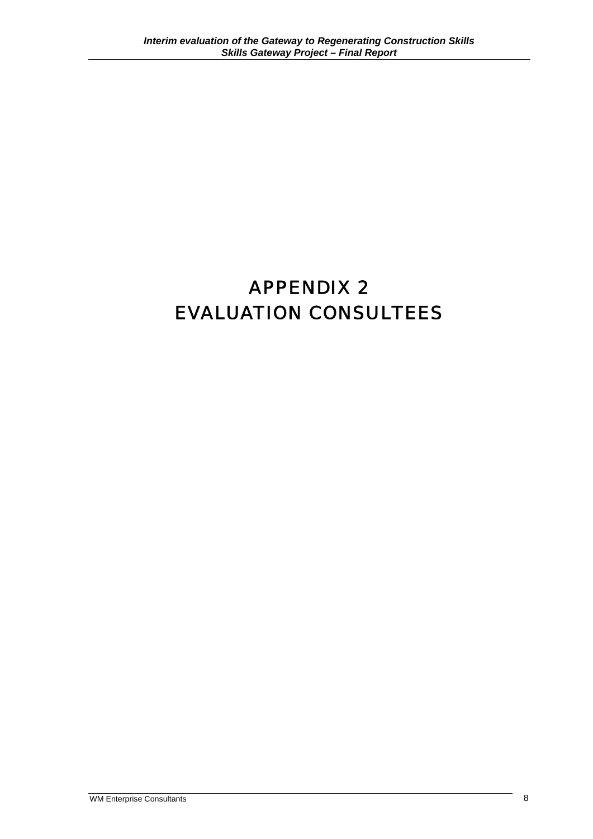# APPENDIX 2 EVALUATION CONSULTEES